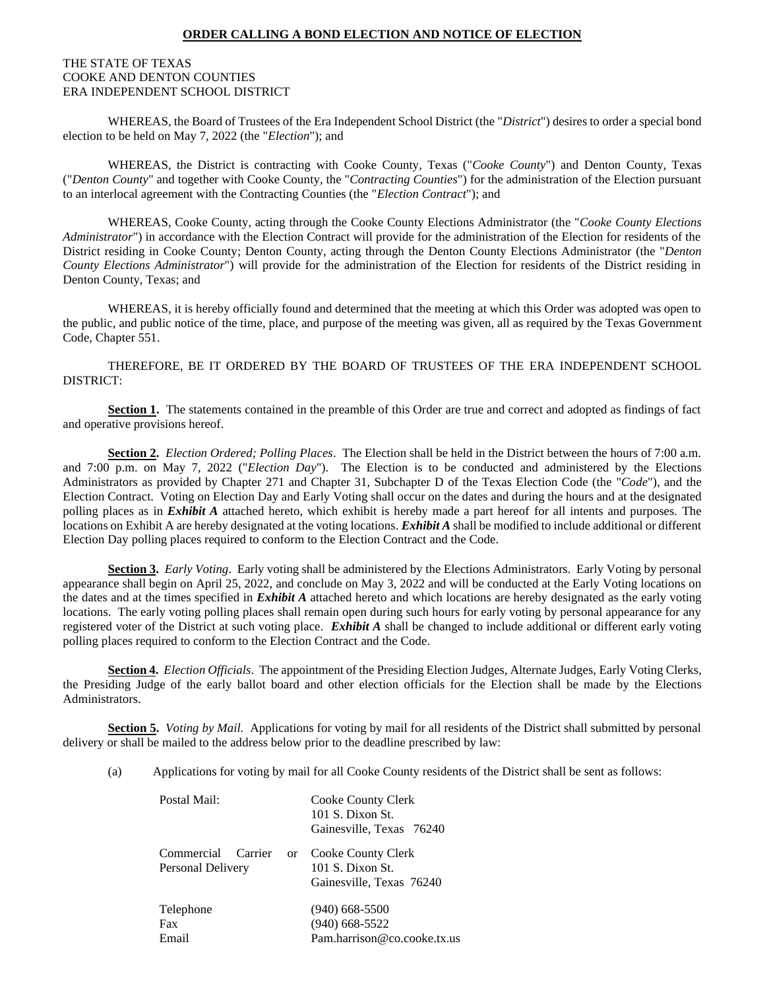#### **ORDER CALLING A BOND ELECTION AND NOTICE OF ELECTION**

#### THE STATE OF TEXAS COOKE AND DENTON COUNTIES ERA INDEPENDENT SCHOOL DISTRICT

WHEREAS, the Board of Trustees of the Era Independent School District (the "*District*") desires to order a special bond election to be held on May 7, 2022 (the "*Election*"); and

WHEREAS, the District is contracting with Cooke County, Texas ("*Cooke County*") and Denton County, Texas ("*Denton County*" and together with Cooke County, the "*Contracting Counties*") for the administration of the Election pursuant to an interlocal agreement with the Contracting Counties (the "*Election Contract*"); and

WHEREAS, Cooke County, acting through the Cooke County Elections Administrator (the "*Cooke County Elections Administrator*") in accordance with the Election Contract will provide for the administration of the Election for residents of the District residing in Cooke County; Denton County, acting through the Denton County Elections Administrator (the "*Denton County Elections Administrator*") will provide for the administration of the Election for residents of the District residing in Denton County, Texas; and

WHEREAS, it is hereby officially found and determined that the meeting at which this Order was adopted was open to the public, and public notice of the time, place, and purpose of the meeting was given, all as required by the Texas Government Code, Chapter 551.

THEREFORE, BE IT ORDERED BY THE BOARD OF TRUSTEES OF THE ERA INDEPENDENT SCHOOL DISTRICT:

**Section 1.** The statements contained in the preamble of this Order are true and correct and adopted as findings of fact and operative provisions hereof.

**Section 2.** *Election Ordered; Polling Places*. The Election shall be held in the District between the hours of 7:00 a.m. and 7:00 p.m. on May 7, 2022 ("*Election Day*"). The Election is to be conducted and administered by the Elections Administrators as provided by Chapter 271 and Chapter 31, Subchapter D of the Texas Election Code (the "*Code*"), and the Election Contract. Voting on Election Day and Early Voting shall occur on the dates and during the hours and at the designated polling places as in *Exhibit A* attached hereto, which exhibit is hereby made a part hereof for all intents and purposes. The locations on Exhibit A are hereby designated at the voting locations. *Exhibit A* shall be modified to include additional or different Election Day polling places required to conform to the Election Contract and the Code.

**Section 3.** *Early Voting*. Early voting shall be administered by the Elections Administrators. Early Voting by personal appearance shall begin on April 25, 2022, and conclude on May 3, 2022 and will be conducted at the Early Voting locations on the dates and at the times specified in *Exhibit A* attached hereto and which locations are hereby designated as the early voting locations. The early voting polling places shall remain open during such hours for early voting by personal appearance for any registered voter of the District at such voting place. *Exhibit A* shall be changed to include additional or different early voting polling places required to conform to the Election Contract and the Code.

**Section 4.** *Election Officials*. The appointment of the Presiding Election Judges, Alternate Judges, Early Voting Clerks, the Presiding Judge of the early ballot board and other election officials for the Election shall be made by the Elections Administrators.

**Section 5.** *Voting by Mail.* Applications for voting by mail for all residents of the District shall submitted by personal delivery or shall be mailed to the address below prior to the deadline prescribed by law:

(a) Applications for voting by mail for all Cooke County residents of the District shall be sent as follows:

| Cooke County Clerk                          |  |  |
|---------------------------------------------|--|--|
| 101 S. Dixon St.                            |  |  |
| Gainesville, Texas 76240                    |  |  |
| Commercial Carrier or<br>Cooke County Clerk |  |  |
| 101 S. Dixon St.                            |  |  |
| Gainesville, Texas 76240                    |  |  |
| $(940)$ 668-5500                            |  |  |
| $(940)$ 668-5522                            |  |  |
| Pam.harrison@co.cooke.tx.us                 |  |  |
|                                             |  |  |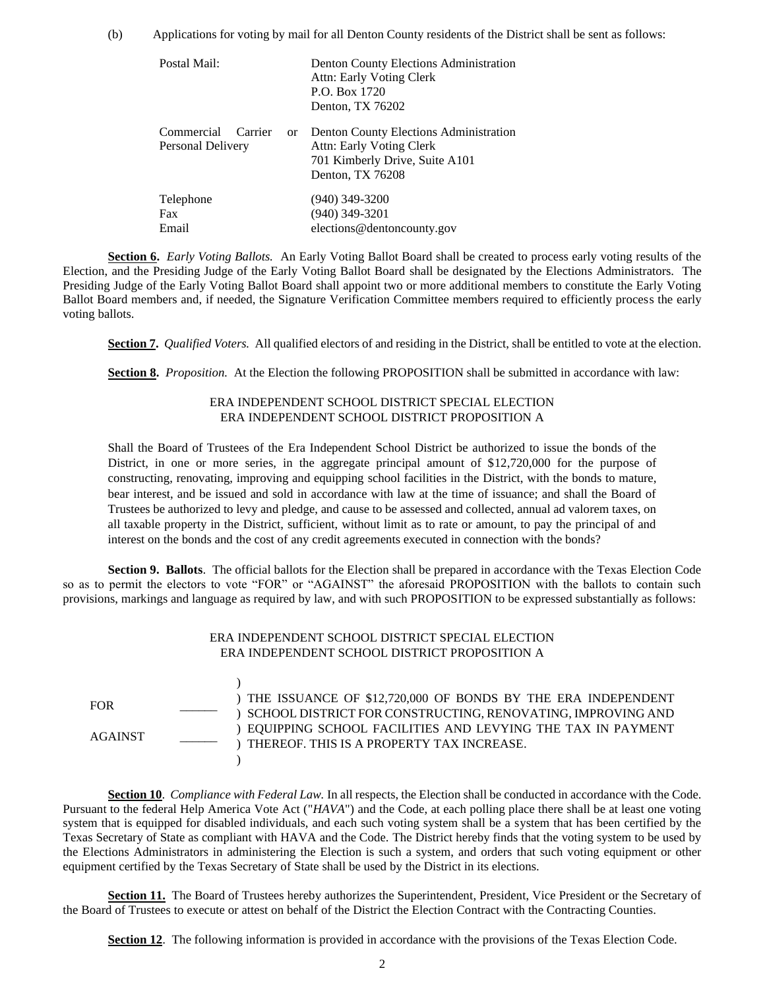(b) Applications for voting by mail for all Denton County residents of the District shall be sent as follows:

| Postal Mail:                               |          | Denton County Elections Administration<br>Attn: Early Voting Clerk<br>P.O. Box 1720<br>Denton, TX 76202                         |
|--------------------------------------------|----------|---------------------------------------------------------------------------------------------------------------------------------|
| Commercial<br>Carrier<br>Personal Delivery | $\alpha$ | <b>Denton County Elections Administration</b><br>Attn: Early Voting Clerk<br>701 Kimberly Drive, Suite A101<br>Denton, TX 76208 |
| Telephone<br><b>Fax</b><br>Email           |          | (940) 349-3200<br>$(940)$ 349-3201<br>elections@dentoncounty.gov                                                                |

**Section 6.** *Early Voting Ballots.* An Early Voting Ballot Board shall be created to process early voting results of the Election, and the Presiding Judge of the Early Voting Ballot Board shall be designated by the Elections Administrators. The Presiding Judge of the Early Voting Ballot Board shall appoint two or more additional members to constitute the Early Voting Ballot Board members and, if needed, the Signature Verification Committee members required to efficiently process the early voting ballots.

**Section 7.** *Qualified Voters.* All qualified electors of and residing in the District, shall be entitled to vote at the election.

**Section 8.** *Proposition.* At the Election the following PROPOSITION shall be submitted in accordance with law:

#### ERA INDEPENDENT SCHOOL DISTRICT SPECIAL ELECTION ERA INDEPENDENT SCHOOL DISTRICT PROPOSITION A

Shall the Board of Trustees of the Era Independent School District be authorized to issue the bonds of the District, in one or more series, in the aggregate principal amount of \$12,720,000 for the purpose of constructing, renovating, improving and equipping school facilities in the District, with the bonds to mature, bear interest, and be issued and sold in accordance with law at the time of issuance; and shall the Board of Trustees be authorized to levy and pledge, and cause to be assessed and collected, annual ad valorem taxes, on all taxable property in the District, sufficient, without limit as to rate or amount, to pay the principal of and interest on the bonds and the cost of any credit agreements executed in connection with the bonds?

**Section 9. Ballots**. The official ballots for the Election shall be prepared in accordance with the Texas Election Code so as to permit the electors to vote "FOR" or "AGAINST" the aforesaid PROPOSITION with the ballots to contain such provisions, markings and language as required by law, and with such PROPOSITION to be expressed substantially as follows:

| ERA INDEPENDENT SCHOOL DISTRICT SPECIAL ELECTION |
|--------------------------------------------------|
| ERA INDEPENDENT SCHOOL DISTRICT PROPOSITION A    |

FOR \_\_\_\_\_\_ AGAINST \_\_\_\_\_\_ )

) THE ISSUANCE OF \$12,720,000 OF BONDS BY THE ERA INDEPENDENT ) SCHOOL DISTRICT FOR CONSTRUCTING, RENOVATING, IMPROVING AND ) EQUIPPING SCHOOL FACILITIES AND LEVYING THE TAX IN PAYMENT ) THEREOF. THIS IS A PROPERTY TAX INCREASE.  $\lambda$ 

**Section 10**. *Compliance with Federal Law.* In all respects, the Election shall be conducted in accordance with the Code. Pursuant to the federal Help America Vote Act ("*HAVA*") and the Code, at each polling place there shall be at least one voting system that is equipped for disabled individuals, and each such voting system shall be a system that has been certified by the Texas Secretary of State as compliant with HAVA and the Code. The District hereby finds that the voting system to be used by the Elections Administrators in administering the Election is such a system, and orders that such voting equipment or other equipment certified by the Texas Secretary of State shall be used by the District in its elections.

**Section 11.** The Board of Trustees hereby authorizes the Superintendent, President, Vice President or the Secretary of the Board of Trustees to execute or attest on behalf of the District the Election Contract with the Contracting Counties.

**Section 12**. The following information is provided in accordance with the provisions of the Texas Election Code.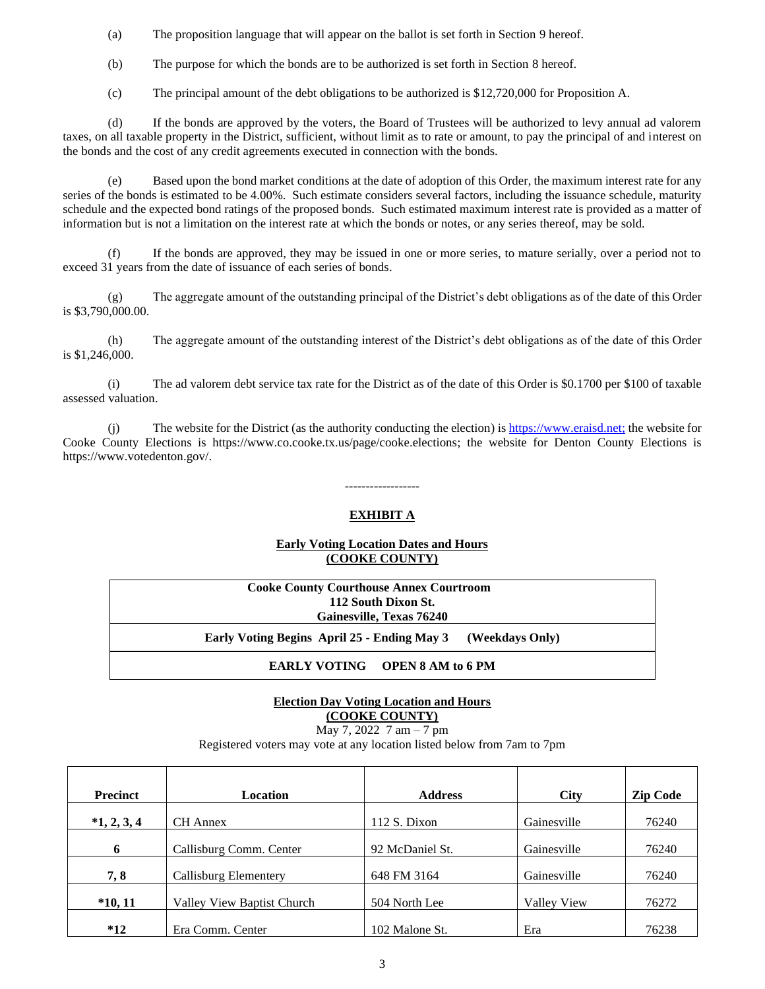(a) The proposition language that will appear on the ballot is set forth in Section 9 hereof.

(b) The purpose for which the bonds are to be authorized is set forth in Section 8 hereof.

(c) The principal amount of the debt obligations to be authorized is \$12,720,000 for Proposition A.

(d) If the bonds are approved by the voters, the Board of Trustees will be authorized to levy annual ad valorem taxes, on all taxable property in the District, sufficient, without limit as to rate or amount, to pay the principal of and interest on the bonds and the cost of any credit agreements executed in connection with the bonds.

Based upon the bond market conditions at the date of adoption of this Order, the maximum interest rate for any series of the bonds is estimated to be 4.00%. Such estimate considers several factors, including the issuance schedule, maturity schedule and the expected bond ratings of the proposed bonds. Such estimated maximum interest rate is provided as a matter of information but is not a limitation on the interest rate at which the bonds or notes, or any series thereof, may be sold.

(f) If the bonds are approved, they may be issued in one or more series, to mature serially, over a period not to exceed 31 years from the date of issuance of each series of bonds.

(g) The aggregate amount of the outstanding principal of the District's debt obligations as of the date of this Order is \$3,790,000.00.

(h) The aggregate amount of the outstanding interest of the District's debt obligations as of the date of this Order is \$1,246,000.

(i) The ad valorem debt service tax rate for the District as of the date of this Order is \$0.1700 per \$100 of taxable assessed valuation.

(i) The website for the District (as the authority conducting the election) is  $\frac{https://www.eraisd.net}{https://www.eraisd.net}$ ; the website for Cooke County Elections is https://www.co.cooke.tx.us/page/cooke.elections; the website for Denton County Elections is https://www.votedenton.gov/.

------------------

#### **EXHIBIT A**

#### **Early Voting Location Dates and Hours (COOKE COUNTY)**

| <b>Cooke County Courthouse Annex Courtroom</b>              |  |  |  |  |
|-------------------------------------------------------------|--|--|--|--|
| 112 South Dixon St.                                         |  |  |  |  |
| Gainesville, Texas 76240                                    |  |  |  |  |
| Early Voting Begins April 25 - Ending May 3 (Weekdays Only) |  |  |  |  |
| <b>EARLY VOTING OPEN 8 AM to 6 PM</b>                       |  |  |  |  |

## **Election Day Voting Location and Hours (COOKE COUNTY)**

May 7, 2022 7 am – 7 pm

Registered voters may vote at any location listed below from 7am to 7pm

| <b>Precinct</b> | Location                   | <b>Address</b>  | <b>City</b> | <b>Zip Code</b> |
|-----------------|----------------------------|-----------------|-------------|-----------------|
| $*1, 2, 3, 4$   | <b>CH</b> Annex            | 112 S. Dixon    | Gainesville | 76240           |
| 6               | Callisburg Comm. Center    | 92 McDaniel St. | Gainesville | 76240           |
| 7, 8            | Callisburg Elementery      | 648 FM 3164     | Gainesville | 76240           |
| $*10, 11$       | Valley View Baptist Church | 504 North Lee   | Vallev View | 76272           |
| $*12$           | Era Comm. Center           | 102 Malone St.  | Era         | 76238           |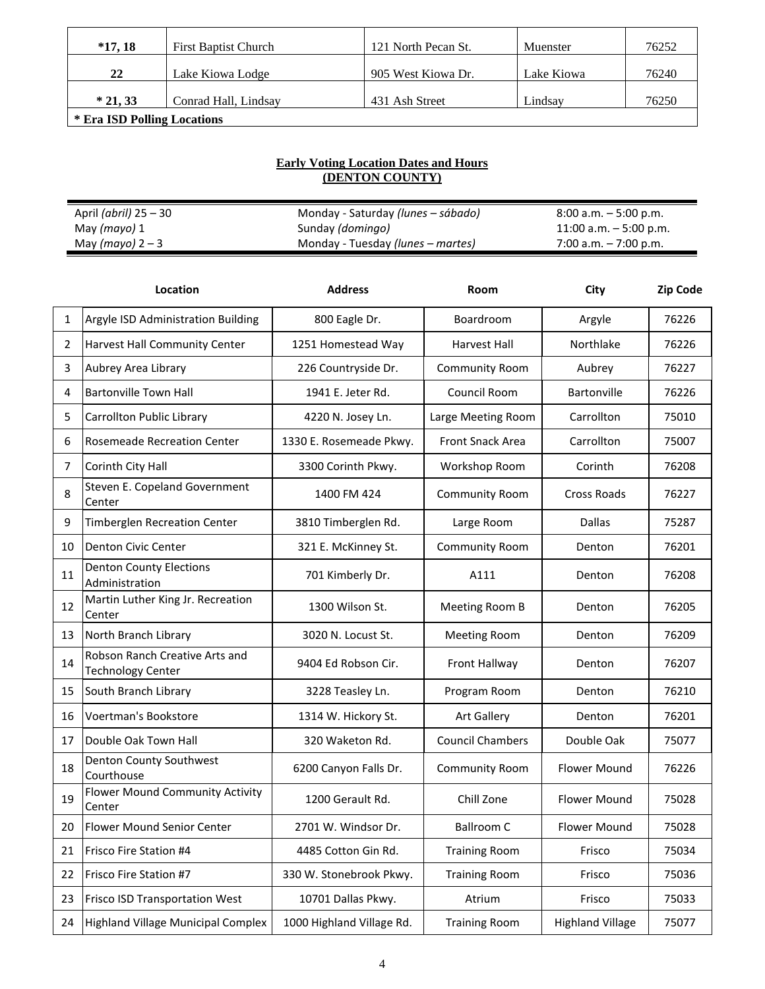| $*17.18$                    | <b>First Baptist Church</b> | 121 North Pecan St. | Muenster   | 76252 |  |
|-----------------------------|-----------------------------|---------------------|------------|-------|--|
| 22                          | Lake Kiowa Lodge            | 905 West Kiowa Dr.  | Lake Kiowa | 76240 |  |
| $*21.33$                    | Conrad Hall, Lindsay        | 431 Ash Street      | Lindsay    | 76250 |  |
| * Era ISD Polling Locations |                             |                     |            |       |  |

## **Early Voting Location Dates and Hours (DENTON COUNTY)**

| April <i>(abril)</i> 25 – 30 | Monday - Saturday <i>(lunes – sábado)</i> | $8:00$ a.m. $-5:00$ p.m.  |
|------------------------------|-------------------------------------------|---------------------------|
| May <i>(mayo)</i> 1          | Sunday ( <i>domingo</i> )                 | $11:00$ a.m. $-5:00$ p.m. |
| May (mayo) $2-3$             | Monday - Tuesday (lunes – martes)         | 7:00 a.m. $-7:00$ p.m.    |

|    | Location                                                   | <b>Address</b>            | Room                    | City                    | <b>Zip Code</b> |
|----|------------------------------------------------------------|---------------------------|-------------------------|-------------------------|-----------------|
| 1  | Argyle ISD Administration Building                         | 800 Eagle Dr.             | Boardroom               | Argyle                  | 76226           |
| 2  | Harvest Hall Community Center                              | 1251 Homestead Way        | Harvest Hall            | Northlake               | 76226           |
| 3  | Aubrey Area Library                                        | 226 Countryside Dr.       | <b>Community Room</b>   | Aubrey                  | 76227           |
| 4  | <b>Bartonville Town Hall</b>                               | 1941 E. Jeter Rd.         | Council Room            | Bartonville             | 76226           |
| 5  | Carrollton Public Library                                  | 4220 N. Josey Ln.         | Large Meeting Room      | Carrollton              | 75010           |
| 6  | Rosemeade Recreation Center                                | 1330 E. Rosemeade Pkwy.   | <b>Front Snack Area</b> | Carrollton              | 75007           |
| 7  | Corinth City Hall                                          | 3300 Corinth Pkwy.        | Workshop Room           | Corinth                 | 76208           |
| 8  | Steven E. Copeland Government<br>Center                    | 1400 FM 424               | <b>Community Room</b>   | Cross Roads             | 76227           |
| 9  | Timberglen Recreation Center                               | 3810 Timberglen Rd.       | Large Room              | <b>Dallas</b>           | 75287           |
| 10 | <b>Denton Civic Center</b>                                 | 321 E. McKinney St.       | <b>Community Room</b>   | Denton                  | 76201           |
| 11 | <b>Denton County Elections</b><br>Administration           | 701 Kimberly Dr.          | A111                    | Denton                  | 76208           |
| 12 | Martin Luther King Jr. Recreation<br>Center                | 1300 Wilson St.           | Meeting Room B          | Denton                  | 76205           |
| 13 | North Branch Library                                       | 3020 N. Locust St.        | <b>Meeting Room</b>     | Denton                  | 76209           |
| 14 | Robson Ranch Creative Arts and<br><b>Technology Center</b> | 9404 Ed Robson Cir.       | Front Hallway           | Denton                  | 76207           |
| 15 | South Branch Library                                       | 3228 Teasley Ln.          | Program Room            | Denton                  | 76210           |
| 16 | Voertman's Bookstore                                       | 1314 W. Hickory St.       | <b>Art Gallery</b>      | Denton                  | 76201           |
| 17 | Double Oak Town Hall                                       | 320 Waketon Rd.           | <b>Council Chambers</b> | Double Oak              | 75077           |
| 18 | <b>Denton County Southwest</b><br>Courthouse               | 6200 Canyon Falls Dr.     | <b>Community Room</b>   | <b>Flower Mound</b>     | 76226           |
| 19 | Flower Mound Community Activity<br>Center                  | 1200 Gerault Rd.          | Chill Zone              | <b>Flower Mound</b>     | 75028           |
| 20 | <b>Flower Mound Senior Center</b>                          | 2701 W. Windsor Dr.       | <b>Ballroom C</b>       | Flower Mound            | 75028           |
| 21 | Frisco Fire Station #4                                     | 4485 Cotton Gin Rd.       | <b>Training Room</b>    | Frisco                  | 75034           |
| 22 | Frisco Fire Station #7                                     | 330 W. Stonebrook Pkwy.   | <b>Training Room</b>    | Frisco                  | 75036           |
| 23 | Frisco ISD Transportation West                             | 10701 Dallas Pkwy.        | Atrium                  | Frisco                  | 75033           |
| 24 | <b>Highland Village Municipal Complex</b>                  | 1000 Highland Village Rd. | <b>Training Room</b>    | <b>Highland Village</b> | 75077           |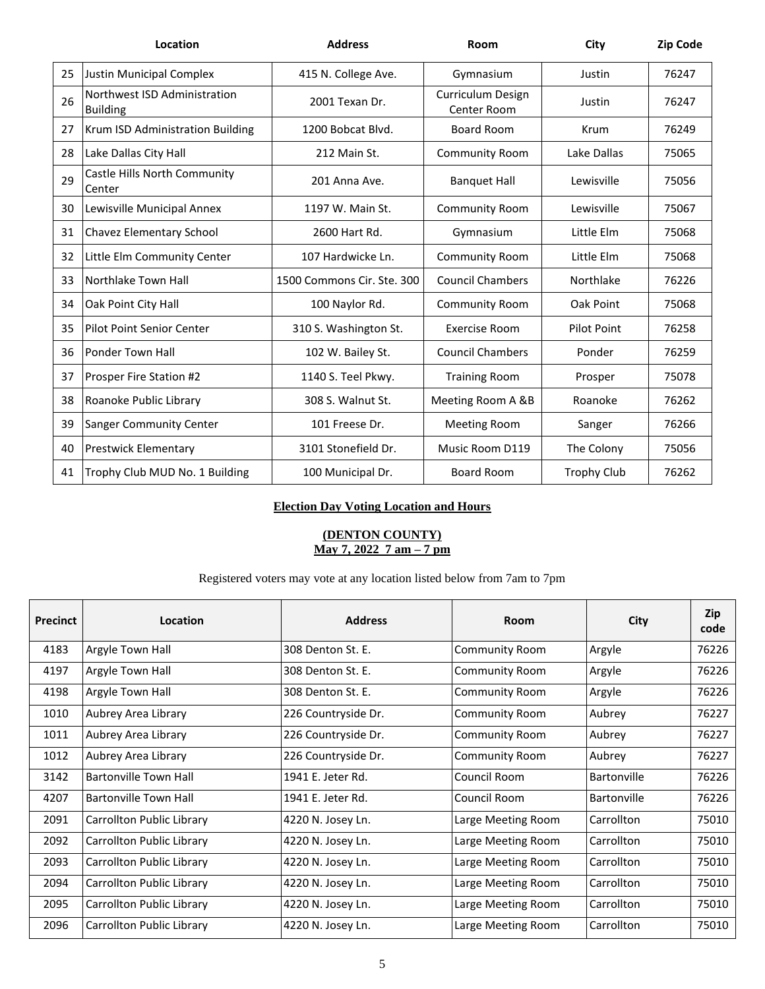|    | Location                                        | <b>Address</b>             | Room                             | City               | <b>Zip Code</b> |
|----|-------------------------------------------------|----------------------------|----------------------------------|--------------------|-----------------|
| 25 | Justin Municipal Complex                        | 415 N. College Ave.        | Gymnasium                        | Justin             | 76247           |
| 26 | Northwest ISD Administration<br><b>Building</b> | 2001 Texan Dr.             | Curriculum Design<br>Center Room | Justin             | 76247           |
| 27 | Krum ISD Administration Building                | 1200 Bobcat Blvd.          | Board Room                       | Krum               | 76249           |
| 28 | Lake Dallas City Hall                           | 212 Main St.               | <b>Community Room</b>            | Lake Dallas        | 75065           |
| 29 | Castle Hills North Community<br>Center          | 201 Anna Ave.              | <b>Banquet Hall</b>              | Lewisville         | 75056           |
| 30 | Lewisville Municipal Annex                      | 1197 W. Main St.           | <b>Community Room</b>            | Lewisville         | 75067           |
| 31 | Chavez Elementary School                        | 2600 Hart Rd.              | Gymnasium                        | Little Elm         | 75068           |
| 32 | Little Elm Community Center                     | 107 Hardwicke Ln.          | <b>Community Room</b>            | Little Elm         | 75068           |
| 33 | Northlake Town Hall                             | 1500 Commons Cir. Ste. 300 | <b>Council Chambers</b>          | Northlake          | 76226           |
| 34 | Oak Point City Hall                             | 100 Naylor Rd.             | <b>Community Room</b>            | Oak Point          | 75068           |
| 35 | Pilot Point Senior Center                       | 310 S. Washington St.      | Exercise Room                    | Pilot Point        | 76258           |
| 36 | <b>Ponder Town Hall</b>                         | 102 W. Bailey St.          | <b>Council Chambers</b>          | Ponder             | 76259           |
| 37 | Prosper Fire Station #2                         | 1140 S. Teel Pkwy.         | <b>Training Room</b>             | Prosper            | 75078           |
| 38 | Roanoke Public Library                          | 308 S. Walnut St.          | Meeting Room A &B                | Roanoke            | 76262           |
| 39 | <b>Sanger Community Center</b>                  | 101 Freese Dr.             | <b>Meeting Room</b>              | Sanger             | 76266           |
| 40 | <b>Prestwick Elementary</b>                     | 3101 Stonefield Dr.        | Music Room D119                  | The Colony         | 75056           |
| 41 | Trophy Club MUD No. 1 Building                  | 100 Municipal Dr.          | Board Room                       | <b>Trophy Club</b> | 76262           |

# **Election Day Voting Location and Hours**

#### **(DENTON COUNTY) May 7, 2022 7 am – 7 pm**

Registered voters may vote at any location listed below from 7am to 7pm

| <b>Precinct</b> | Location                     | <b>Address</b>      | Room                  | City        | Zip<br>code |
|-----------------|------------------------------|---------------------|-----------------------|-------------|-------------|
| 4183            | Argyle Town Hall             | 308 Denton St. E.   | Community Room        | Argyle      | 76226       |
| 4197            | Argyle Town Hall             | 308 Denton St. E.   | <b>Community Room</b> | Argyle      | 76226       |
| 4198            | Argyle Town Hall             | 308 Denton St. E.   | <b>Community Room</b> | Argyle      | 76226       |
| 1010            | Aubrey Area Library          | 226 Countryside Dr. | <b>Community Room</b> | Aubrey      | 76227       |
| 1011            | Aubrey Area Library          | 226 Countryside Dr. | <b>Community Room</b> | Aubrey      | 76227       |
| 1012            | Aubrey Area Library          | 226 Countryside Dr. | <b>Community Room</b> | Aubrey      | 76227       |
| 3142            | Bartonville Town Hall        | 1941 E. Jeter Rd.   | Council Room          | Bartonville | 76226       |
| 4207            | <b>Bartonville Town Hall</b> | 1941 E. Jeter Rd.   | Council Room          | Bartonville | 76226       |
| 2091            | Carrollton Public Library    | 4220 N. Josey Ln.   | Large Meeting Room    | Carrollton  | 75010       |
| 2092            | Carrollton Public Library    | 4220 N. Josey Ln.   | Large Meeting Room    | Carrollton  | 75010       |
| 2093            | Carrollton Public Library    | 4220 N. Josey Ln.   | Large Meeting Room    | Carrollton  | 75010       |
| 2094            | Carrollton Public Library    | 4220 N. Josey Ln.   | Large Meeting Room    | Carrollton  | 75010       |
| 2095            | Carrollton Public Library    | 4220 N. Josey Ln.   | Large Meeting Room    | Carrollton  | 75010       |
| 2096            | Carrollton Public Library    | 4220 N. Josey Ln.   | Large Meeting Room    | Carrollton  | 75010       |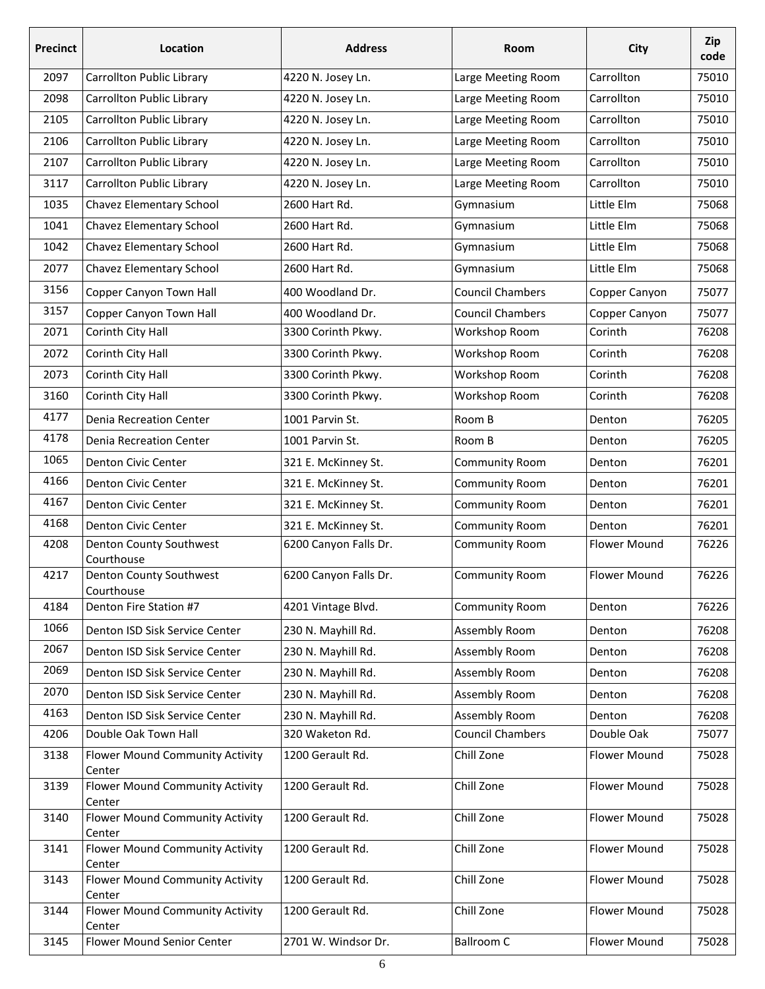| <b>Precinct</b> | Location                                  | <b>Address</b>        | Room                    | City                | Zip<br>code |
|-----------------|-------------------------------------------|-----------------------|-------------------------|---------------------|-------------|
| 2097            | Carrollton Public Library                 | 4220 N. Josey Ln.     | Large Meeting Room      | Carrollton          | 75010       |
| 2098            | Carrollton Public Library                 | 4220 N. Josey Ln.     | Large Meeting Room      | Carrollton          | 75010       |
| 2105            | Carrollton Public Library                 | 4220 N. Josey Ln.     | Large Meeting Room      | Carrollton          | 75010       |
| 2106            | Carrollton Public Library                 | 4220 N. Josey Ln.     | Large Meeting Room      | Carrollton          | 75010       |
| 2107            | Carrollton Public Library                 | 4220 N. Josey Ln.     | Large Meeting Room      | Carrollton          | 75010       |
| 3117            | Carrollton Public Library                 | 4220 N. Josey Ln.     | Large Meeting Room      | Carrollton          | 75010       |
| 1035            | Chavez Elementary School                  | 2600 Hart Rd.         | Gymnasium               | Little Elm          | 75068       |
| 1041            | Chavez Elementary School                  | 2600 Hart Rd.         | Gymnasium               | Little Elm          | 75068       |
| 1042            | Chavez Elementary School                  | 2600 Hart Rd.         | Gymnasium               | Little Elm          | 75068       |
| 2077            | Chavez Elementary School                  | 2600 Hart Rd.         | Gymnasium               | Little Elm          | 75068       |
| 3156            | Copper Canyon Town Hall                   | 400 Woodland Dr.      | <b>Council Chambers</b> | Copper Canyon       | 75077       |
| 3157            | Copper Canyon Town Hall                   | 400 Woodland Dr.      | <b>Council Chambers</b> | Copper Canyon       | 75077       |
| 2071            | Corinth City Hall                         | 3300 Corinth Pkwy.    | Workshop Room           | Corinth             | 76208       |
| 2072            | Corinth City Hall                         | 3300 Corinth Pkwy.    | Workshop Room           | Corinth             | 76208       |
| 2073            | Corinth City Hall                         | 3300 Corinth Pkwy.    | Workshop Room           | Corinth             | 76208       |
| 3160            | Corinth City Hall                         | 3300 Corinth Pkwy.    | Workshop Room           | Corinth             | 76208       |
| 4177            | <b>Denia Recreation Center</b>            | 1001 Parvin St.       | Room B                  | Denton              | 76205       |
| 4178            | Denia Recreation Center                   | 1001 Parvin St.       | Room B                  | Denton              | 76205       |
| 1065            | Denton Civic Center                       | 321 E. McKinney St.   | Community Room          | Denton              | 76201       |
| 4166            | Denton Civic Center                       | 321 E. McKinney St.   | Community Room          | Denton              | 76201       |
| 4167            | Denton Civic Center                       | 321 E. McKinney St.   | Community Room          | Denton              | 76201       |
| 4168            | Denton Civic Center                       | 321 E. McKinney St.   | Community Room          | Denton              | 76201       |
| 4208            | Denton County Southwest<br>Courthouse     | 6200 Canyon Falls Dr. | Community Room          | <b>Flower Mound</b> | 76226       |
| 4217            | Denton County Southwest<br>Courthouse     | 6200 Canyon Falls Dr. | Community Room          | <b>Flower Mound</b> | 76226       |
| 4184            | Denton Fire Station #7                    | 4201 Vintage Blvd.    | Community Room          | Denton              | 76226       |
| 1066            | Denton ISD Sisk Service Center            | 230 N. Mayhill Rd.    | Assembly Room           | Denton              | 76208       |
| 2067            | Denton ISD Sisk Service Center            | 230 N. Mayhill Rd.    | Assembly Room           | Denton              | 76208       |
| 2069            | Denton ISD Sisk Service Center            | 230 N. Mayhill Rd.    | Assembly Room           | Denton              | 76208       |
| 2070            | Denton ISD Sisk Service Center            | 230 N. Mayhill Rd.    | Assembly Room           | Denton              | 76208       |
| 4163            | Denton ISD Sisk Service Center            | 230 N. Mayhill Rd.    | Assembly Room           | Denton              | 76208       |
| 4206            | Double Oak Town Hall                      | 320 Waketon Rd.       | <b>Council Chambers</b> | Double Oak          | 75077       |
| 3138            | Flower Mound Community Activity<br>Center | 1200 Gerault Rd.      | Chill Zone              | Flower Mound        | 75028       |
| 3139            | Flower Mound Community Activity<br>Center | 1200 Gerault Rd.      | Chill Zone              | Flower Mound        | 75028       |
| 3140            | Flower Mound Community Activity<br>Center | 1200 Gerault Rd.      | Chill Zone              | Flower Mound        | 75028       |
| 3141            | Flower Mound Community Activity<br>Center | 1200 Gerault Rd.      | Chill Zone              | Flower Mound        | 75028       |
| 3143            | Flower Mound Community Activity<br>Center | 1200 Gerault Rd.      | Chill Zone              | Flower Mound        | 75028       |
| 3144            | Flower Mound Community Activity<br>Center | 1200 Gerault Rd.      | Chill Zone              | Flower Mound        | 75028       |
| 3145            | Flower Mound Senior Center                | 2701 W. Windsor Dr.   | <b>Ballroom C</b>       | Flower Mound        | 75028       |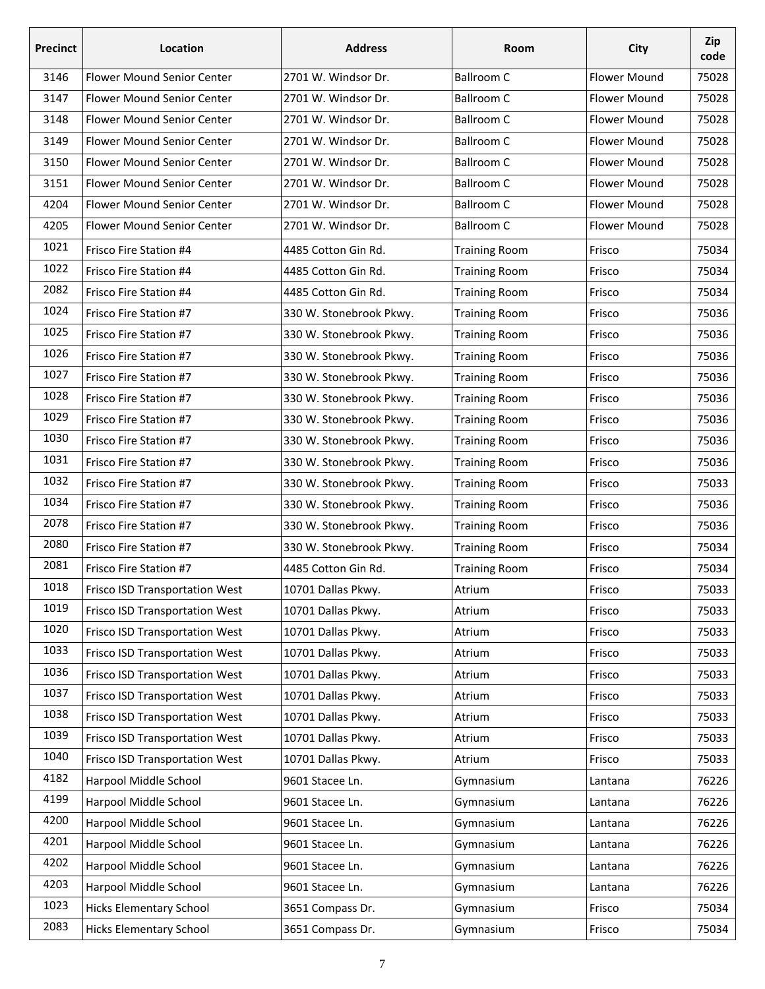| <b>Precinct</b> | Location                              | <b>Address</b>          | Room                 | City                | Zip<br>code |
|-----------------|---------------------------------------|-------------------------|----------------------|---------------------|-------------|
| 3146            | Flower Mound Senior Center            | 2701 W. Windsor Dr.     | <b>Ballroom C</b>    | <b>Flower Mound</b> | 75028       |
| 3147            | Flower Mound Senior Center            | 2701 W. Windsor Dr.     | <b>Ballroom C</b>    | <b>Flower Mound</b> | 75028       |
| 3148            | Flower Mound Senior Center            | 2701 W. Windsor Dr.     | <b>Ballroom C</b>    | <b>Flower Mound</b> | 75028       |
| 3149            | Flower Mound Senior Center            | 2701 W. Windsor Dr.     | <b>Ballroom C</b>    | <b>Flower Mound</b> | 75028       |
| 3150            | Flower Mound Senior Center            | 2701 W. Windsor Dr.     | <b>Ballroom C</b>    | <b>Flower Mound</b> | 75028       |
| 3151            | Flower Mound Senior Center            | 2701 W. Windsor Dr.     | <b>Ballroom C</b>    | Flower Mound        | 75028       |
| 4204            | Flower Mound Senior Center            | 2701 W. Windsor Dr.     | <b>Ballroom C</b>    | <b>Flower Mound</b> | 75028       |
| 4205            | Flower Mound Senior Center            | 2701 W. Windsor Dr.     | <b>Ballroom C</b>    | Flower Mound        | 75028       |
| 1021            | Frisco Fire Station #4                | 4485 Cotton Gin Rd.     | <b>Training Room</b> | Frisco              | 75034       |
| 1022            | Frisco Fire Station #4                | 4485 Cotton Gin Rd.     | <b>Training Room</b> | Frisco              | 75034       |
| 2082            | Frisco Fire Station #4                | 4485 Cotton Gin Rd.     | <b>Training Room</b> | Frisco              | 75034       |
| 1024            | Frisco Fire Station #7                | 330 W. Stonebrook Pkwy. | <b>Training Room</b> | Frisco              | 75036       |
| 1025            | Frisco Fire Station #7                | 330 W. Stonebrook Pkwy. | <b>Training Room</b> | Frisco              | 75036       |
| 1026            | Frisco Fire Station #7                | 330 W. Stonebrook Pkwy. | <b>Training Room</b> | Frisco              | 75036       |
| 1027            | Frisco Fire Station #7                | 330 W. Stonebrook Pkwy. | <b>Training Room</b> | Frisco              | 75036       |
| 1028            | Frisco Fire Station #7                | 330 W. Stonebrook Pkwy. | <b>Training Room</b> | Frisco              | 75036       |
| 1029            | Frisco Fire Station #7                | 330 W. Stonebrook Pkwy. | <b>Training Room</b> | Frisco              | 75036       |
| 1030            | Frisco Fire Station #7                | 330 W. Stonebrook Pkwy. | <b>Training Room</b> | Frisco              | 75036       |
| 1031            | Frisco Fire Station #7                | 330 W. Stonebrook Pkwy. | <b>Training Room</b> | Frisco              | 75036       |
| 1032            | Frisco Fire Station #7                | 330 W. Stonebrook Pkwy. | <b>Training Room</b> | Frisco              | 75033       |
| 1034            | Frisco Fire Station #7                | 330 W. Stonebrook Pkwy. | <b>Training Room</b> | Frisco              | 75036       |
| 2078            | Frisco Fire Station #7                | 330 W. Stonebrook Pkwy. | <b>Training Room</b> | Frisco              | 75036       |
| 2080            | Frisco Fire Station #7                | 330 W. Stonebrook Pkwy. | <b>Training Room</b> | Frisco              | 75034       |
| 2081            | Frisco Fire Station #7                | 4485 Cotton Gin Rd.     | <b>Training Room</b> | Frisco              | 75034       |
| 1018            | <b>Frisco ISD Transportation West</b> | 10701 Dallas Pkwy.      | Atrium               | Frisco              | 75033       |
| 1019            | Frisco ISD Transportation West        | 10701 Dallas Pkwy.      | Atrium               | Frisco              | 75033       |
| 1020            | Frisco ISD Transportation West        | 10701 Dallas Pkwy.      | Atrium               | Frisco              | 75033       |
| 1033            | Frisco ISD Transportation West        | 10701 Dallas Pkwy.      | Atrium               | Frisco              | 75033       |
| 1036            | Frisco ISD Transportation West        | 10701 Dallas Pkwy.      | Atrium               | Frisco              | 75033       |
| 1037            | Frisco ISD Transportation West        | 10701 Dallas Pkwy.      | Atrium               | Frisco              | 75033       |
| 1038            | Frisco ISD Transportation West        | 10701 Dallas Pkwy.      | Atrium               | Frisco              | 75033       |
| 1039            | Frisco ISD Transportation West        | 10701 Dallas Pkwy.      | Atrium               | Frisco              | 75033       |
| 1040            | Frisco ISD Transportation West        | 10701 Dallas Pkwy.      | Atrium               | Frisco              | 75033       |
| 4182            | Harpool Middle School                 | 9601 Stacee Ln.         | Gymnasium            | Lantana             | 76226       |
| 4199            | Harpool Middle School                 | 9601 Stacee Ln.         | Gymnasium            | Lantana             | 76226       |
| 4200            | Harpool Middle School                 | 9601 Stacee Ln.         | Gymnasium            | Lantana             | 76226       |
| 4201            | Harpool Middle School                 | 9601 Stacee Ln.         | Gymnasium            | Lantana             | 76226       |
| 4202            | Harpool Middle School                 | 9601 Stacee Ln.         | Gymnasium            | Lantana             | 76226       |
| 4203            | Harpool Middle School                 | 9601 Stacee Ln.         | Gymnasium            | Lantana             | 76226       |
| 1023            | <b>Hicks Elementary School</b>        | 3651 Compass Dr.        | Gymnasium            | Frisco              | 75034       |
| 2083            | <b>Hicks Elementary School</b>        | 3651 Compass Dr.        | Gymnasium            | Frisco              | 75034       |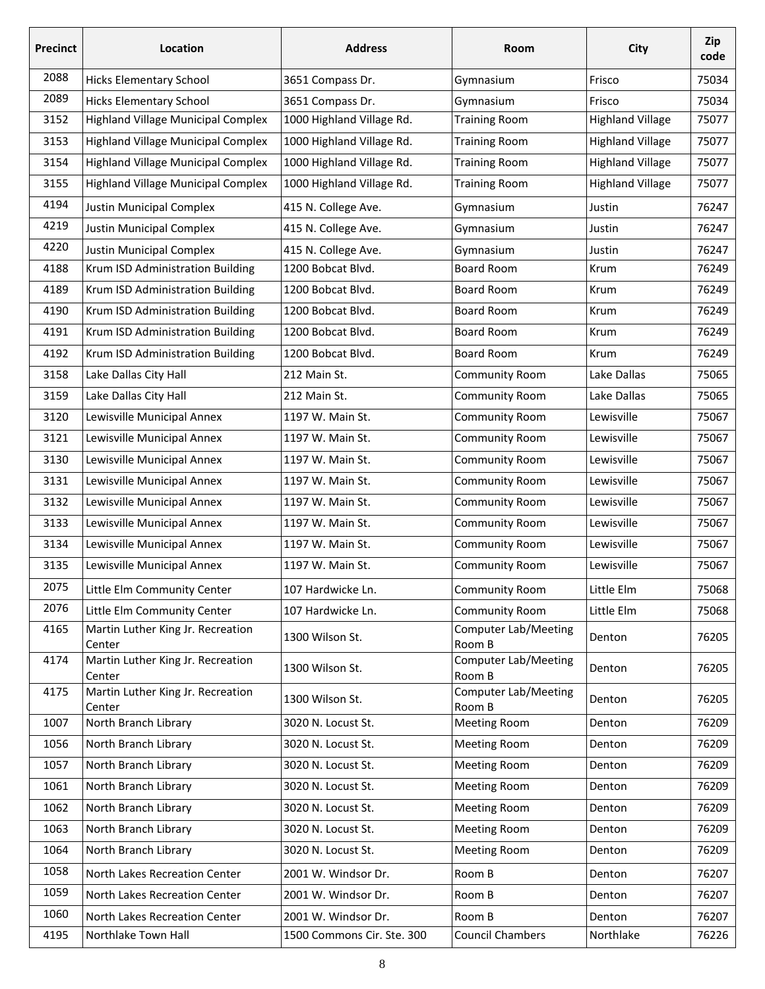| <b>Precinct</b> | Location                                    | <b>Address</b>             | Room                                  | City                    | Zip<br>code |
|-----------------|---------------------------------------------|----------------------------|---------------------------------------|-------------------------|-------------|
| 2088            | <b>Hicks Elementary School</b>              | 3651 Compass Dr.           | Gymnasium                             | Frisco                  | 75034       |
| 2089            | <b>Hicks Elementary School</b>              | 3651 Compass Dr.           | Gymnasium                             | Frisco                  | 75034       |
| 3152            | <b>Highland Village Municipal Complex</b>   | 1000 Highland Village Rd.  | <b>Training Room</b>                  | <b>Highland Village</b> | 75077       |
| 3153            | <b>Highland Village Municipal Complex</b>   | 1000 Highland Village Rd.  | <b>Training Room</b>                  | <b>Highland Village</b> | 75077       |
| 3154            | <b>Highland Village Municipal Complex</b>   | 1000 Highland Village Rd.  | <b>Training Room</b>                  | <b>Highland Village</b> | 75077       |
| 3155            | <b>Highland Village Municipal Complex</b>   | 1000 Highland Village Rd.  | <b>Training Room</b>                  | <b>Highland Village</b> | 75077       |
| 4194            | Justin Municipal Complex                    | 415 N. College Ave.        | Gymnasium                             | Justin                  | 76247       |
| 4219            | <b>Justin Municipal Complex</b>             | 415 N. College Ave.        | Gymnasium                             | Justin                  | 76247       |
| 4220            | Justin Municipal Complex                    | 415 N. College Ave.        | Gymnasium                             | Justin                  | 76247       |
| 4188            | Krum ISD Administration Building            | 1200 Bobcat Blvd.          | <b>Board Room</b>                     | Krum                    | 76249       |
| 4189            | Krum ISD Administration Building            | 1200 Bobcat Blvd.          | Board Room                            | Krum                    | 76249       |
| 4190            | Krum ISD Administration Building            | 1200 Bobcat Blvd.          | <b>Board Room</b>                     | Krum                    | 76249       |
| 4191            | Krum ISD Administration Building            | 1200 Bobcat Blvd.          | Board Room                            | Krum                    | 76249       |
| 4192            | Krum ISD Administration Building            | 1200 Bobcat Blvd.          | <b>Board Room</b>                     | Krum                    | 76249       |
| 3158            | Lake Dallas City Hall                       | 212 Main St.               | Community Room                        | Lake Dallas             | 75065       |
| 3159            | Lake Dallas City Hall                       | 212 Main St.               | Community Room                        | Lake Dallas             | 75065       |
| 3120            | Lewisville Municipal Annex                  | 1197 W. Main St.           | Community Room                        | Lewisville              | 75067       |
| 3121            | Lewisville Municipal Annex                  | 1197 W. Main St.           | Community Room                        | Lewisville              | 75067       |
| 3130            | Lewisville Municipal Annex                  | 1197 W. Main St.           | Community Room                        | Lewisville              | 75067       |
| 3131            | Lewisville Municipal Annex                  | 1197 W. Main St.           | Community Room                        | Lewisville              | 75067       |
| 3132            | Lewisville Municipal Annex                  | 1197 W. Main St.           | Community Room                        | Lewisville              | 75067       |
| 3133            | Lewisville Municipal Annex                  | 1197 W. Main St.           | Community Room                        | Lewisville              | 75067       |
| 3134            | Lewisville Municipal Annex                  | 1197 W. Main St.           | Community Room                        | Lewisville              | 75067       |
| 3135            | Lewisville Municipal Annex                  | 1197 W. Main St.           | Community Room                        | Lewisville              | 75067       |
| 2075            | Little Elm Community Center                 | 107 Hardwicke Ln.          | Community Room                        | Little Elm              | 75068       |
| 2076            | Little Elm Community Center                 | 107 Hardwicke Ln.          | Community Room                        | Little Elm              | 75068       |
| 4165            | Martin Luther King Jr. Recreation<br>Center | 1300 Wilson St.            | <b>Computer Lab/Meeting</b><br>Room B | Denton                  | 76205       |
| 4174            | Martin Luther King Jr. Recreation<br>Center | 1300 Wilson St.            | <b>Computer Lab/Meeting</b><br>Room B | Denton                  | 76205       |
| 4175            | Martin Luther King Jr. Recreation<br>Center | 1300 Wilson St.            | <b>Computer Lab/Meeting</b><br>Room B | Denton                  | 76205       |
| 1007            | North Branch Library                        | 3020 N. Locust St.         | <b>Meeting Room</b>                   | Denton                  | 76209       |
| 1056            | North Branch Library                        | 3020 N. Locust St.         | <b>Meeting Room</b>                   | Denton                  | 76209       |
| 1057            | North Branch Library                        | 3020 N. Locust St.         | <b>Meeting Room</b>                   | Denton                  | 76209       |
| 1061            | North Branch Library                        | 3020 N. Locust St.         | <b>Meeting Room</b>                   | Denton                  | 76209       |
| 1062            | North Branch Library                        | 3020 N. Locust St.         | <b>Meeting Room</b>                   | Denton                  | 76209       |
| 1063            | North Branch Library                        | 3020 N. Locust St.         | <b>Meeting Room</b>                   | Denton                  | 76209       |
| 1064            | North Branch Library                        | 3020 N. Locust St.         | <b>Meeting Room</b>                   | Denton                  | 76209       |
| 1058            | North Lakes Recreation Center               | 2001 W. Windsor Dr.        | Room B                                | Denton                  | 76207       |
| 1059            | North Lakes Recreation Center               | 2001 W. Windsor Dr.        | Room B                                | Denton                  | 76207       |
| 1060            | North Lakes Recreation Center               | 2001 W. Windsor Dr.        | Room B                                | Denton                  | 76207       |
| 4195            | Northlake Town Hall                         | 1500 Commons Cir. Ste. 300 | <b>Council Chambers</b>               | Northlake               | 76226       |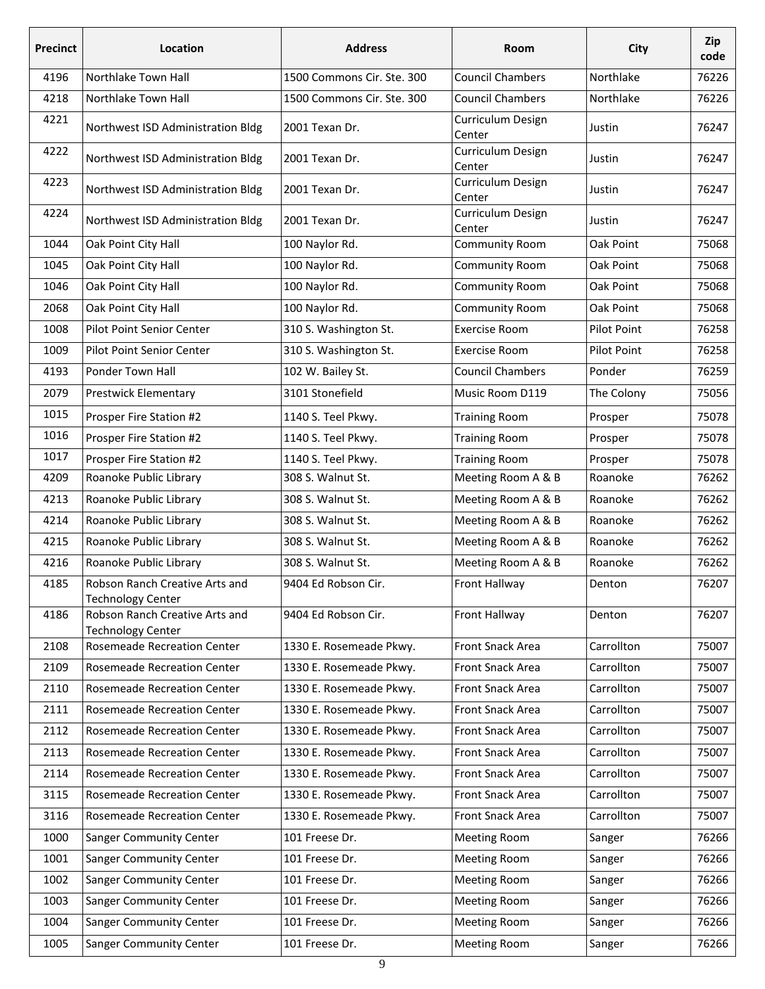| <b>Precinct</b> | Location                                                   | <b>Address</b>             | Room                        | City        | Zip<br>code |
|-----------------|------------------------------------------------------------|----------------------------|-----------------------------|-------------|-------------|
| 4196            | Northlake Town Hall                                        | 1500 Commons Cir. Ste. 300 | <b>Council Chambers</b>     | Northlake   | 76226       |
| 4218            | Northlake Town Hall                                        | 1500 Commons Cir. Ste. 300 | <b>Council Chambers</b>     | Northlake   | 76226       |
| 4221            | Northwest ISD Administration Bldg                          | 2001 Texan Dr.             | Curriculum Design<br>Center | Justin      | 76247       |
| 4222            | Northwest ISD Administration Bldg                          | 2001 Texan Dr.             | Curriculum Design<br>Center | Justin      | 76247       |
| 4223            | Northwest ISD Administration Bldg                          | 2001 Texan Dr.             | Curriculum Design<br>Center | Justin      | 76247       |
| 4224            | Northwest ISD Administration Bldg                          | 2001 Texan Dr.             | Curriculum Design<br>Center | Justin      | 76247       |
| 1044            | Oak Point City Hall                                        | 100 Naylor Rd.             | Community Room              | Oak Point   | 75068       |
| 1045            | Oak Point City Hall                                        | 100 Naylor Rd.             | Community Room              | Oak Point   | 75068       |
| 1046            | Oak Point City Hall                                        | 100 Naylor Rd.             | Community Room              | Oak Point   | 75068       |
| 2068            | Oak Point City Hall                                        | 100 Naylor Rd.             | Community Room              | Oak Point   | 75068       |
| 1008            | Pilot Point Senior Center                                  | 310 S. Washington St.      | <b>Exercise Room</b>        | Pilot Point | 76258       |
| 1009            | <b>Pilot Point Senior Center</b>                           | 310 S. Washington St.      | <b>Exercise Room</b>        | Pilot Point | 76258       |
| 4193            | Ponder Town Hall                                           | 102 W. Bailey St.          | <b>Council Chambers</b>     | Ponder      | 76259       |
| 2079            | <b>Prestwick Elementary</b>                                | 3101 Stonefield            | Music Room D119             | The Colony  | 75056       |
| 1015            | Prosper Fire Station #2                                    | 1140 S. Teel Pkwy.         | <b>Training Room</b>        | Prosper     | 75078       |
| 1016            | Prosper Fire Station #2                                    | 1140 S. Teel Pkwy.         | <b>Training Room</b>        | Prosper     | 75078       |
| 1017            | Prosper Fire Station #2                                    | 1140 S. Teel Pkwy.         | <b>Training Room</b>        | Prosper     | 75078       |
| 4209            | Roanoke Public Library                                     | 308 S. Walnut St.          | Meeting Room A & B          | Roanoke     | 76262       |
| 4213            | Roanoke Public Library                                     | 308 S. Walnut St.          | Meeting Room A & B          | Roanoke     | 76262       |
| 4214            | Roanoke Public Library                                     | 308 S. Walnut St.          | Meeting Room A & B          | Roanoke     | 76262       |
| 4215            | Roanoke Public Library                                     | 308 S. Walnut St.          | Meeting Room A & B          | Roanoke     | 76262       |
| 4216            | Roanoke Public Library                                     | 308 S. Walnut St.          | Meeting Room A & B          | Roanoke     | 76262       |
| 4185            | Robson Ranch Creative Arts and<br><b>Technology Center</b> | 9404 Ed Robson Cir.        | <b>Front Hallway</b>        | Denton      | 76207       |
| 4186            | Robson Ranch Creative Arts and<br><b>Technology Center</b> | 9404 Ed Robson Cir.        | Front Hallway               | Denton      | 76207       |
| 2108            | Rosemeade Recreation Center                                | 1330 E. Rosemeade Pkwy.    | Front Snack Area            | Carrollton  | 75007       |
| 2109            | <b>Rosemeade Recreation Center</b>                         | 1330 E. Rosemeade Pkwy.    | Front Snack Area            | Carrollton  | 75007       |
| 2110            | Rosemeade Recreation Center                                | 1330 E. Rosemeade Pkwy.    | Front Snack Area            | Carrollton  | 75007       |
| 2111            | Rosemeade Recreation Center                                | 1330 E. Rosemeade Pkwy.    | Front Snack Area            | Carrollton  | 75007       |
| 2112            | Rosemeade Recreation Center                                | 1330 E. Rosemeade Pkwy.    | Front Snack Area            | Carrollton  | 75007       |
| 2113            | Rosemeade Recreation Center                                | 1330 E. Rosemeade Pkwy.    | Front Snack Area            | Carrollton  | 75007       |
| 2114            | Rosemeade Recreation Center                                | 1330 E. Rosemeade Pkwy.    | Front Snack Area            | Carrollton  | 75007       |
| 3115            | Rosemeade Recreation Center                                | 1330 E. Rosemeade Pkwy.    | Front Snack Area            | Carrollton  | 75007       |
| 3116            | Rosemeade Recreation Center                                | 1330 E. Rosemeade Pkwy.    | Front Snack Area            | Carrollton  | 75007       |
| 1000            | <b>Sanger Community Center</b>                             | 101 Freese Dr.             | <b>Meeting Room</b>         | Sanger      | 76266       |
| 1001            | Sanger Community Center                                    | 101 Freese Dr.             | <b>Meeting Room</b>         | Sanger      | 76266       |
| 1002            | Sanger Community Center                                    | 101 Freese Dr.             | <b>Meeting Room</b>         | Sanger      | 76266       |
| 1003            | Sanger Community Center                                    | 101 Freese Dr.             | <b>Meeting Room</b>         | Sanger      | 76266       |
| 1004            | Sanger Community Center                                    | 101 Freese Dr.             | <b>Meeting Room</b>         | Sanger      | 76266       |
| 1005            | Sanger Community Center                                    | 101 Freese Dr.             | <b>Meeting Room</b>         | Sanger      | 76266       |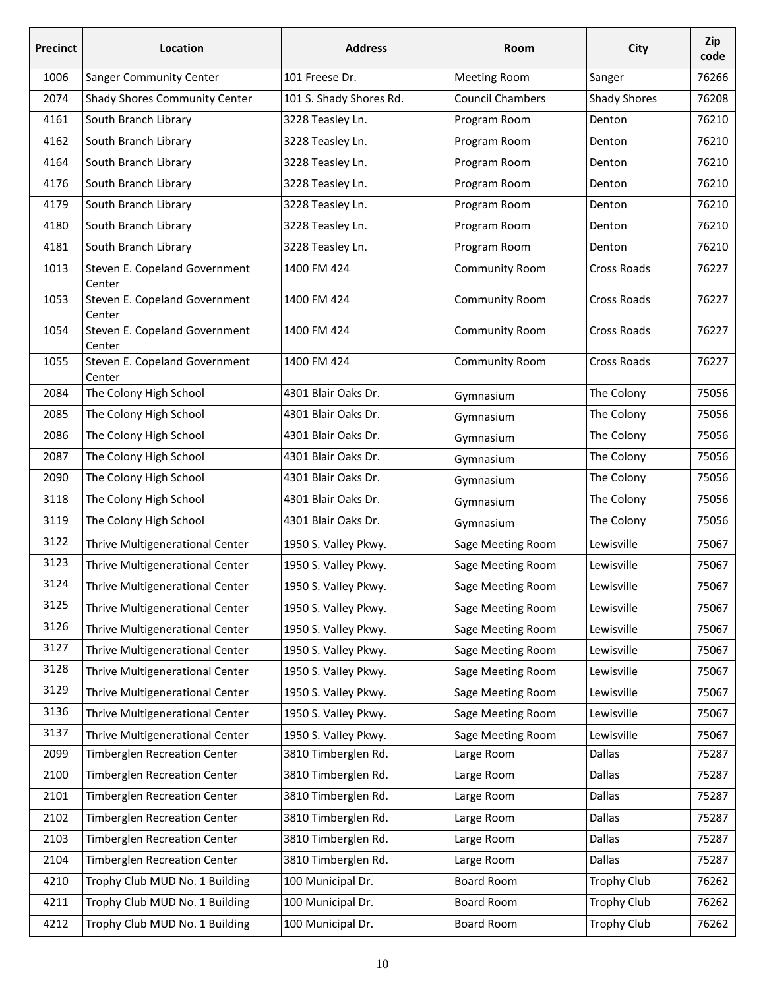| <b>Precinct</b> | <b>Location</b>                         | <b>Address</b>          | Room                    | City                | Zip<br>code |
|-----------------|-----------------------------------------|-------------------------|-------------------------|---------------------|-------------|
| 1006            | <b>Sanger Community Center</b>          | 101 Freese Dr.          | <b>Meeting Room</b>     | Sanger              | 76266       |
| 2074            | Shady Shores Community Center           | 101 S. Shady Shores Rd. | <b>Council Chambers</b> | <b>Shady Shores</b> | 76208       |
| 4161            | South Branch Library                    | 3228 Teasley Ln.        | Program Room            | Denton              | 76210       |
| 4162            | South Branch Library                    | 3228 Teasley Ln.        | Program Room            | Denton              | 76210       |
| 4164            | South Branch Library                    | 3228 Teasley Ln.        | Program Room            | Denton              | 76210       |
| 4176            | South Branch Library                    | 3228 Teasley Ln.        | Program Room            | Denton              | 76210       |
| 4179            | South Branch Library                    | 3228 Teasley Ln.        | Program Room            | Denton              | 76210       |
| 4180            | South Branch Library                    | 3228 Teasley Ln.        | Program Room            | Denton              | 76210       |
| 4181            | South Branch Library                    | 3228 Teasley Ln.        | Program Room            | Denton              | 76210       |
| 1013            | Steven E. Copeland Government<br>Center | 1400 FM 424             | Community Room          | Cross Roads         | 76227       |
| 1053            | Steven E. Copeland Government<br>Center | 1400 FM 424             | Community Room          | Cross Roads         | 76227       |
| 1054            | Steven E. Copeland Government<br>Center | 1400 FM 424             | Community Room          | Cross Roads         | 76227       |
| 1055            | Steven E. Copeland Government<br>Center | 1400 FM 424             | Community Room          | Cross Roads         | 76227       |
| 2084            | The Colony High School                  | 4301 Blair Oaks Dr.     | Gymnasium               | The Colony          | 75056       |
| 2085            | The Colony High School                  | 4301 Blair Oaks Dr.     | Gymnasium               | The Colony          | 75056       |
| 2086            | The Colony High School                  | 4301 Blair Oaks Dr.     | Gymnasium               | The Colony          | 75056       |
| 2087            | The Colony High School                  | 4301 Blair Oaks Dr.     | Gymnasium               | The Colony          | 75056       |
| 2090            | The Colony High School                  | 4301 Blair Oaks Dr.     | Gymnasium               | The Colony          | 75056       |
| 3118            | The Colony High School                  | 4301 Blair Oaks Dr.     | Gymnasium               | The Colony          | 75056       |
| 3119            | The Colony High School                  | 4301 Blair Oaks Dr.     | Gymnasium               | The Colony          | 75056       |
| 3122            | Thrive Multigenerational Center         | 1950 S. Valley Pkwy.    | Sage Meeting Room       | Lewisville          | 75067       |
| 3123            | Thrive Multigenerational Center         | 1950 S. Valley Pkwy.    | Sage Meeting Room       | Lewisville          | 75067       |
| 3124            | Thrive Multigenerational Center         | 1950 S. Valley Pkwy.    | Sage Meeting Room       | Lewisville          | 75067       |
| 3125            | Thrive Multigenerational Center         | 1950 S. Valley Pkwy.    | Sage Meeting Room       | Lewisville          | 75067       |
| 3126            | Thrive Multigenerational Center         | 1950 S. Valley Pkwy.    | Sage Meeting Room       | Lewisville          | 75067       |
| 3127            | Thrive Multigenerational Center         | 1950 S. Valley Pkwy.    | Sage Meeting Room       | Lewisville          | 75067       |
| 3128            | Thrive Multigenerational Center         | 1950 S. Valley Pkwy.    | Sage Meeting Room       | Lewisville          | 75067       |
| 3129            | Thrive Multigenerational Center         | 1950 S. Valley Pkwy.    | Sage Meeting Room       | Lewisville          | 75067       |
| 3136            | Thrive Multigenerational Center         | 1950 S. Valley Pkwy.    | Sage Meeting Room       | Lewisville          | 75067       |
| 3137            | Thrive Multigenerational Center         | 1950 S. Valley Pkwy.    | Sage Meeting Room       | Lewisville          | 75067       |
| 2099            | Timberglen Recreation Center            | 3810 Timberglen Rd.     | Large Room              | Dallas              | 75287       |
| 2100            | Timberglen Recreation Center            | 3810 Timberglen Rd.     | Large Room              | Dallas              | 75287       |
| 2101            | Timberglen Recreation Center            | 3810 Timberglen Rd.     | Large Room              | Dallas              | 75287       |
| 2102            | Timberglen Recreation Center            | 3810 Timberglen Rd.     | Large Room              | Dallas              | 75287       |
| 2103            | Timberglen Recreation Center            | 3810 Timberglen Rd.     | Large Room              | Dallas              | 75287       |
| 2104            | Timberglen Recreation Center            | 3810 Timberglen Rd.     | Large Room              | Dallas              | 75287       |
| 4210            | Trophy Club MUD No. 1 Building          | 100 Municipal Dr.       | <b>Board Room</b>       | <b>Trophy Club</b>  | 76262       |
| 4211            | Trophy Club MUD No. 1 Building          | 100 Municipal Dr.       | Board Room              | <b>Trophy Club</b>  | 76262       |
| 4212            | Trophy Club MUD No. 1 Building          | 100 Municipal Dr.       | Board Room              | <b>Trophy Club</b>  | 76262       |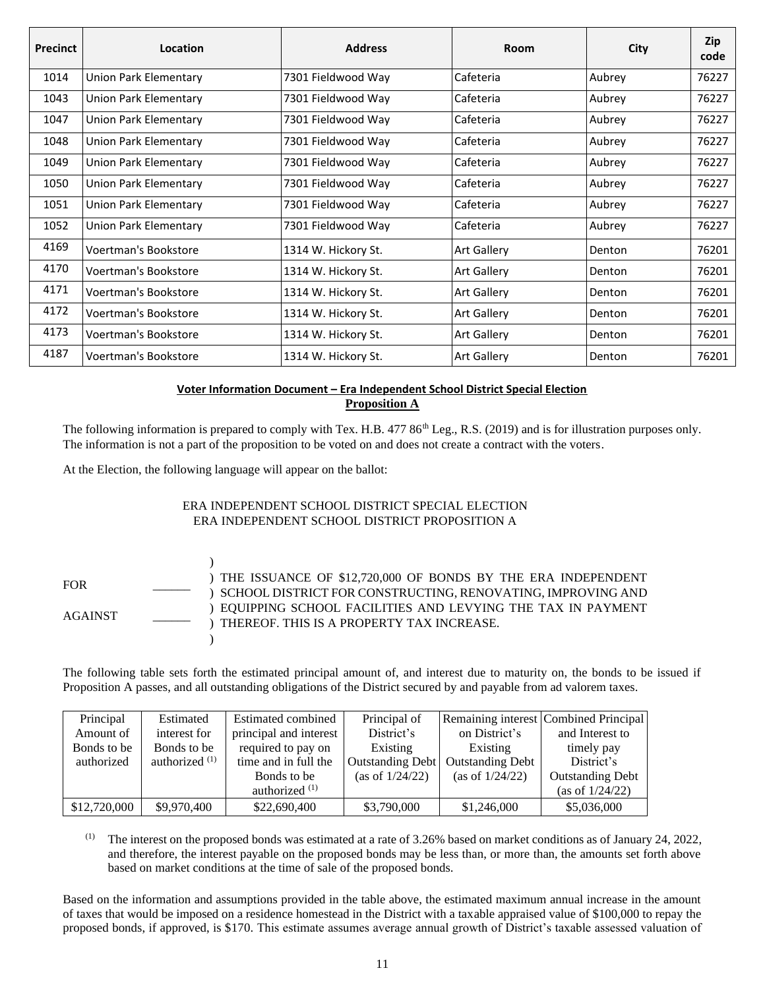| <b>Precinct</b> | Location                     | <b>Address</b>      | Room               | City     | Zip<br>code |
|-----------------|------------------------------|---------------------|--------------------|----------|-------------|
| 1014            | <b>Union Park Elementary</b> | 7301 Fieldwood Way  | Cafeteria          | Aubrey   | 76227       |
| 1043            | Union Park Elementary        | 7301 Fieldwood Way  | Cafeteria          | Aubrey   | 76227       |
| 1047            | Union Park Elementary        | 7301 Fieldwood Way  | Cafeteria          | Aubrey   | 76227       |
| 1048            | Union Park Elementary        | 7301 Fieldwood Way  | Cafeteria          | Aubrey   | 76227       |
| 1049            | Union Park Elementary        | 7301 Fieldwood Way  | Cafeteria          | Aubrey   | 76227       |
| 1050            | Union Park Elementary        | 7301 Fieldwood Way  | Cafeteria          | Aubrey   | 76227       |
| 1051            | Union Park Elementary        | 7301 Fieldwood Way  | Cafeteria          | Aubrey   | 76227       |
| 1052            | Union Park Elementary        | 7301 Fieldwood Way  | Cafeteria          | Aubrey   | 76227       |
| 4169            | Voertman's Bookstore         | 1314 W. Hickory St. | <b>Art Gallery</b> | Denton   | 76201       |
| 4170            | Voertman's Bookstore         | 1314 W. Hickory St. | <b>Art Gallery</b> | l Denton | 76201       |
| 4171            | Voertman's Bookstore         | 1314 W. Hickory St. | <b>Art Gallery</b> | Denton   | 76201       |
| 4172            | Voertman's Bookstore         | 1314 W. Hickory St. | <b>Art Gallery</b> | Denton   | 76201       |
| 4173            | Voertman's Bookstore         | 1314 W. Hickory St. | <b>Art Gallery</b> | Denton   | 76201       |
| 4187            | Voertman's Bookstore         | 1314 W. Hickory St. | <b>Art Gallery</b> | Denton   | 76201       |

## **Voter Information Document – Era Independent School District Special Election Proposition A**

The following information is prepared to comply with Tex. H.B. 477 86<sup>th</sup> Leg., R.S. (2019) and is for illustration purposes only. The information is not a part of the proposition to be voted on and does not create a contract with the voters.

At the Election, the following language will appear on the ballot:

## ERA INDEPENDENT SCHOOL DISTRICT SPECIAL ELECTION ERA INDEPENDENT SCHOOL DISTRICT PROPOSITION A



The following table sets forth the estimated principal amount of, and interest due to maturity on, the bonds to be issued if Proposition A passes, and all outstanding obligations of the District secured by and payable from ad valorem taxes.

| Principal    | Estimated        | Estimated combined     | Principal of       |                         | Remaining interest Combined Principal |
|--------------|------------------|------------------------|--------------------|-------------------------|---------------------------------------|
| Amount of    | interest for     | principal and interest | District's         | on District's           | and Interest to                       |
| Bonds to be  | Bonds to be      | required to pay on     | Existing           | Existing                | timely pay                            |
| authorized   | authorized $(1)$ | time and in full the   | Outstanding Debt   | <b>Outstanding Debt</b> | District's                            |
|              |                  | Bonds to be            | (as of $1/24/22$ ) | (as of $1/24/22$ )      | <b>Outstanding Debt</b>               |
|              |                  | authorized $(1)$       |                    |                         | (as of 1/24/22)                       |
| \$12,720,000 | \$9,970,400      | \$22,690,400           | \$3,790,000        | \$1,246,000             | \$5,036,000                           |

(1) The interest on the proposed bonds was estimated at a rate of  $3.26\%$  based on market conditions as of January 24, 2022, and therefore, the interest payable on the proposed bonds may be less than, or more than, the amounts set forth above based on market conditions at the time of sale of the proposed bonds.

Based on the information and assumptions provided in the table above, the estimated maximum annual increase in the amount of taxes that would be imposed on a residence homestead in the District with a taxable appraised value of \$100,000 to repay the proposed bonds, if approved, is \$170. This estimate assumes average annual growth of District's taxable assessed valuation of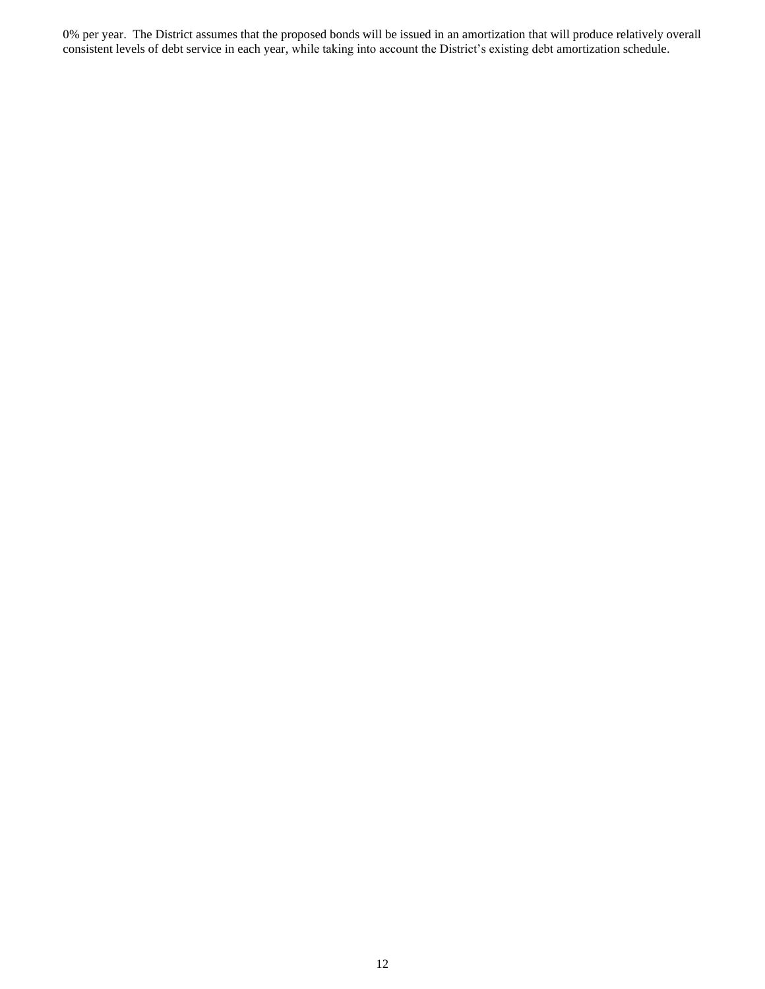0% per year. The District assumes that the proposed bonds will be issued in an amortization that will produce relatively overall consistent levels of debt service in each year, while taking into account the District's existing debt amortization schedule.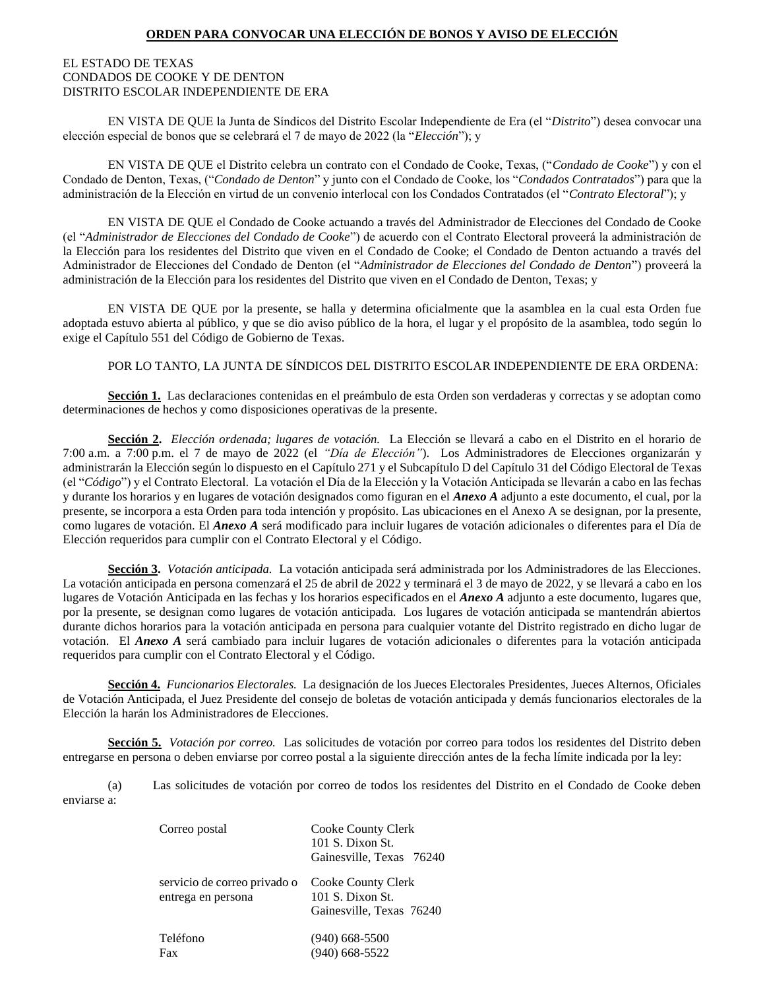## **ORDEN PARA CONVOCAR UNA ELECCIÓN DE BONOS Y AVISO DE ELECCIÓN**

#### EL ESTADO DE TEXAS CONDADOS DE COOKE Y DE DENTON DISTRITO ESCOLAR INDEPENDIENTE DE ERA

EN VISTA DE QUE la Junta de Síndicos del Distrito Escolar Independiente de Era (el "*Distrito*") desea convocar una elección especial de bonos que se celebrará el 7 de mayo de 2022 (la "*Elección*"); y

EN VISTA DE QUE el Distrito celebra un contrato con el Condado de Cooke, Texas, ("*Condado de Cooke*") y con el Condado de Denton, Texas, ("*Condado de Denton*" y junto con el Condado de Cooke, los "*Condados Contratados*") para que la administración de la Elección en virtud de un convenio interlocal con los Condados Contratados (el "*Contrato Electoral*"); y

EN VISTA DE QUE el Condado de Cooke actuando a través del Administrador de Elecciones del Condado de Cooke (el "*Administrador de Elecciones del Condado de Cooke*") de acuerdo con el Contrato Electoral proveerá la administración de la Elección para los residentes del Distrito que viven en el Condado de Cooke; el Condado de Denton actuando a través del Administrador de Elecciones del Condado de Denton (el "*Administrador de Elecciones del Condado de Denton*") proveerá la administración de la Elección para los residentes del Distrito que viven en el Condado de Denton, Texas; y

EN VISTA DE QUE por la presente, se halla y determina oficialmente que la asamblea en la cual esta Orden fue adoptada estuvo abierta al público, y que se dio aviso público de la hora, el lugar y el propósito de la asamblea, todo según lo exige el Capítulo 551 del Código de Gobierno de Texas.

#### POR LO TANTO, LA JUNTA DE SÍNDICOS DEL DISTRITO ESCOLAR INDEPENDIENTE DE ERA ORDENA:

**Sección 1.** Las declaraciones contenidas en el preámbulo de esta Orden son verdaderas y correctas y se adoptan como determinaciones de hechos y como disposiciones operativas de la presente.

**Sección 2.** *Elección ordenada; lugares de votación.* La Elección se llevará a cabo en el Distrito en el horario de 7:00 a.m. a 7:00 p.m. el 7 de mayo de 2022 (el *"Día de Elección"*). Los Administradores de Elecciones organizarán y administrarán la Elección según lo dispuesto en el Capítulo 271 y el Subcapítulo D del Capítulo 31 del Código Electoral de Texas (el "*Código*") y el Contrato Electoral. La votación el Día de la Elección y la Votación Anticipada se llevarán a cabo en las fechas y durante los horarios y en lugares de votación designados como figuran en el *Anexo A* adjunto a este documento, el cual, por la presente, se incorpora a esta Orden para toda intención y propósito. Las ubicaciones en el Anexo A se designan, por la presente, como lugares de votación. El *Anexo A* será modificado para incluir lugares de votación adicionales o diferentes para el Día de Elección requeridos para cumplir con el Contrato Electoral y el Código.

**Sección 3.** *Votación anticipada.* La votación anticipada será administrada por los Administradores de las Elecciones. La votación anticipada en persona comenzará el 25 de abril de 2022 y terminará el 3 de mayo de 2022, y se llevará a cabo en los lugares de Votación Anticipada en las fechas y los horarios especificados en el *Anexo A* adjunto a este documento, lugares que, por la presente, se designan como lugares de votación anticipada. Los lugares de votación anticipada se mantendrán abiertos durante dichos horarios para la votación anticipada en persona para cualquier votante del Distrito registrado en dicho lugar de votación. El *Anexo A* será cambiado para incluir lugares de votación adicionales o diferentes para la votación anticipada requeridos para cumplir con el Contrato Electoral y el Código.

**Sección 4.** *Funcionarios Electorales.* La designación de los Jueces Electorales Presidentes, Jueces Alternos, Oficiales de Votación Anticipada, el Juez Presidente del consejo de boletas de votación anticipada y demás funcionarios electorales de la Elección la harán los Administradores de Elecciones.

**Sección 5.** *Votación por correo.* Las solicitudes de votación por correo para todos los residentes del Distrito deben entregarse en persona o deben enviarse por correo postal a la siguiente dirección antes de la fecha límite indicada por la ley:

(a) Las solicitudes de votación por correo de todos los residentes del Distrito en el Condado de Cooke deben enviarse a:

| Correo postal                                      | Cooke County Clerk<br>101 S. Dixon St.<br>Gainesville, Texas 76240 |
|----------------------------------------------------|--------------------------------------------------------------------|
| servicio de correo privado o<br>entrega en persona | Cooke County Clerk<br>101 S. Dixon St.<br>Gainesville, Texas 76240 |
| Teléfono<br>Fax                                    | $(940)$ 668-5500<br>$(940)$ 668-5522                               |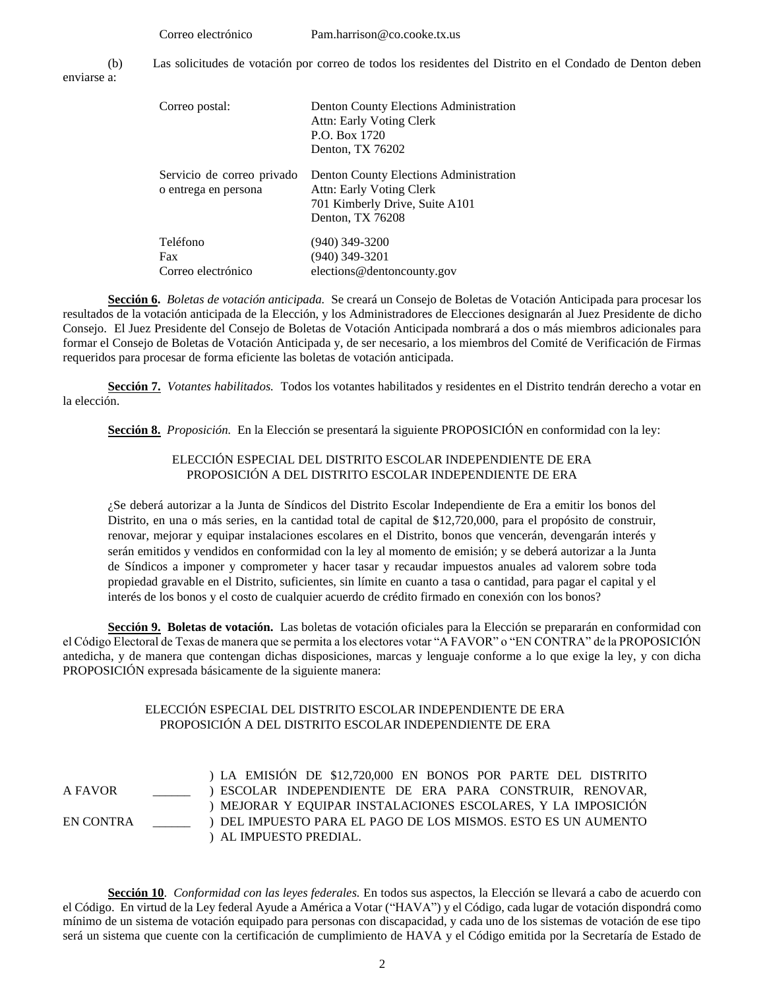Correo electrónico Pam.harrison@co.cooke.tx.us (b) Las solicitudes de votación por correo de todos los residentes del Distrito en el Condado de Denton deben

enviarse a:

| Correo postal:                                     | Denton County Elections Administration<br>Attn: Early Voting Clerk<br>P.O. Box 1720<br>Denton, TX 76202                  |
|----------------------------------------------------|--------------------------------------------------------------------------------------------------------------------------|
| Servicio de correo privado<br>o entrega en persona | Denton County Elections Administration<br>Attn: Early Voting Clerk<br>701 Kimberly Drive, Suite A101<br>Denton, TX 76208 |
| Teléfono<br><b>Fax</b><br>Correo electrónico       | $(940)$ 349-3200<br>$(940)$ 349-3201<br>elections@dentoncounty.gov                                                       |

**Sección 6.** *Boletas de votación anticipada.* Se creará un Consejo de Boletas de Votación Anticipada para procesar los resultados de la votación anticipada de la Elección, y los Administradores de Elecciones designarán al Juez Presidente de dicho Consejo. El Juez Presidente del Consejo de Boletas de Votación Anticipada nombrará a dos o más miembros adicionales para formar el Consejo de Boletas de Votación Anticipada y, de ser necesario, a los miembros del Comité de Verificación de Firmas requeridos para procesar de forma eficiente las boletas de votación anticipada.

**Sección 7.** *Votantes habilitados.* Todos los votantes habilitados y residentes en el Distrito tendrán derecho a votar en la elección.

**Sección 8.** *Proposición.* En la Elección se presentará la siguiente PROPOSICIÓN en conformidad con la ley:

## ELECCIÓN ESPECIAL DEL DISTRITO ESCOLAR INDEPENDIENTE DE ERA PROPOSICIÓN A DEL DISTRITO ESCOLAR INDEPENDIENTE DE ERA

¿Se deberá autorizar a la Junta de Síndicos del Distrito Escolar Independiente de Era a emitir los bonos del Distrito, en una o más series, en la cantidad total de capital de \$12,720,000, para el propósito de construir, renovar, mejorar y equipar instalaciones escolares en el Distrito, bonos que vencerán, devengarán interés y serán emitidos y vendidos en conformidad con la ley al momento de emisión; y se deberá autorizar a la Junta de Síndicos a imponer y comprometer y hacer tasar y recaudar impuestos anuales ad valorem sobre toda propiedad gravable en el Distrito, suficientes, sin límite en cuanto a tasa o cantidad, para pagar el capital y el interés de los bonos y el costo de cualquier acuerdo de crédito firmado en conexión con los bonos?

**Sección 9. Boletas de votación.** Las boletas de votación oficiales para la Elección se prepararán en conformidad con el Código Electoral de Texas de manera que se permita a los electores votar "A FAVOR" o "EN CONTRA" de la PROPOSICIÓN antedicha, y de manera que contengan dichas disposiciones, marcas y lenguaje conforme a lo que exige la ley, y con dicha PROPOSICIÓN expresada básicamente de la siguiente manera:

## ELECCIÓN ESPECIAL DEL DISTRITO ESCOLAR INDEPENDIENTE DE ERA PROPOSICIÓN A DEL DISTRITO ESCOLAR INDEPENDIENTE DE ERA

A FAVOR \_\_\_\_\_\_ EN CONTRA \_\_\_\_\_\_ ) LA EMISIÓN DE \$12,720,000 EN BONOS POR PARTE DEL DISTRITO ) ESCOLAR INDEPENDIENTE DE ERA PARA CONSTRUIR, RENOVAR, ) MEJORAR Y EQUIPAR INSTALACIONES ESCOLARES, Y LA IMPOSICIÓN ) DEL IMPUESTO PARA EL PAGO DE LOS MISMOS. ESTO ES UN AUMENTO ) AL IMPUESTO PREDIAL.

**Sección 10**. *Conformidad con las leyes federales.* En todos sus aspectos, la Elección se llevará a cabo de acuerdo con el Código. En virtud de la Ley federal Ayude a América a Votar ("HAVA") y el Código, cada lugar de votación dispondrá como mínimo de un sistema de votación equipado para personas con discapacidad, y cada uno de los sistemas de votación de ese tipo será un sistema que cuente con la certificación de cumplimiento de HAVA y el Código emitida por la Secretaría de Estado de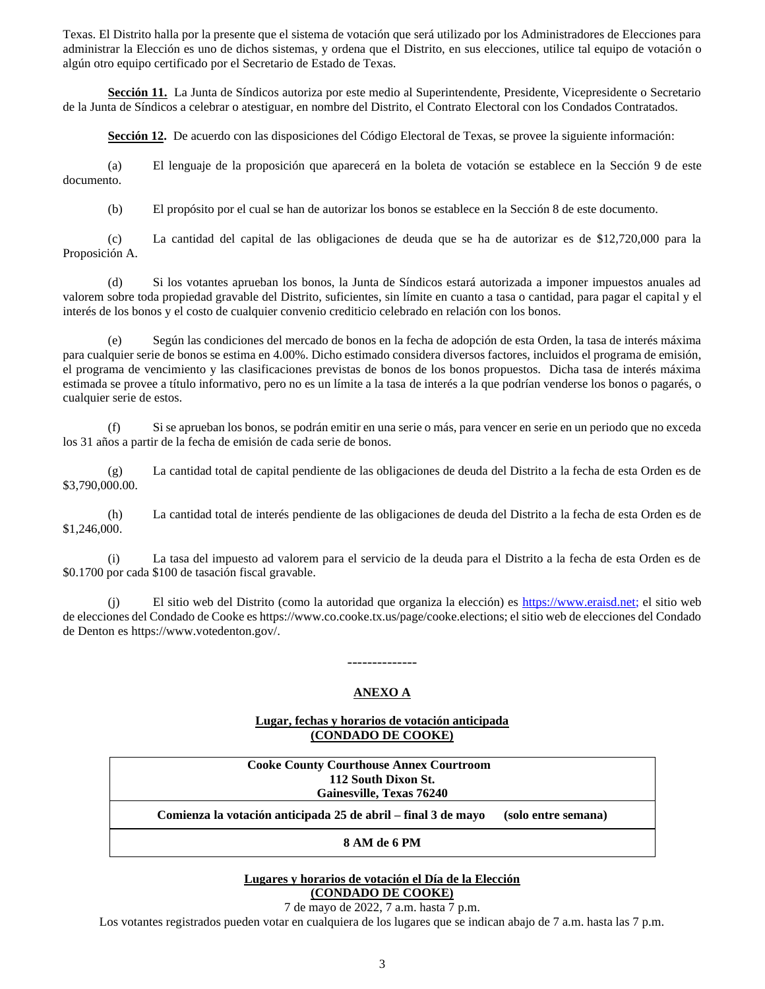Texas. El Distrito halla por la presente que el sistema de votación que será utilizado por los Administradores de Elecciones para administrar la Elección es uno de dichos sistemas, y ordena que el Distrito, en sus elecciones, utilice tal equipo de votación o algún otro equipo certificado por el Secretario de Estado de Texas.

**Sección 11.** La Junta de Síndicos autoriza por este medio al Superintendente, Presidente, Vicepresidente o Secretario de la Junta de Síndicos a celebrar o atestiguar, en nombre del Distrito, el Contrato Electoral con los Condados Contratados.

Sección 12. De acuerdo con las disposiciones del Código Electoral de Texas, se provee la siguiente información:

(a) El lenguaje de la proposición que aparecerá en la boleta de votación se establece en la Sección 9 de este documento.

(b) El propósito por el cual se han de autorizar los bonos se establece en la Sección 8 de este documento.

(c) La cantidad del capital de las obligaciones de deuda que se ha de autorizar es de \$12,720,000 para la Proposición A.

(d) Si los votantes aprueban los bonos, la Junta de Síndicos estará autorizada a imponer impuestos anuales ad valorem sobre toda propiedad gravable del Distrito, suficientes, sin límite en cuanto a tasa o cantidad, para pagar el capital y el interés de los bonos y el costo de cualquier convenio crediticio celebrado en relación con los bonos.

(e) Según las condiciones del mercado de bonos en la fecha de adopción de esta Orden, la tasa de interés máxima para cualquier serie de bonos se estima en 4.00%. Dicho estimado considera diversos factores, incluidos el programa de emisión, el programa de vencimiento y las clasificaciones previstas de bonos de los bonos propuestos. Dicha tasa de interés máxima estimada se provee a título informativo, pero no es un límite a la tasa de interés a la que podrían venderse los bonos o pagarés, o cualquier serie de estos.

(f) Si se aprueban los bonos, se podrán emitir en una serie o más, para vencer en serie en un periodo que no exceda los 31 años a partir de la fecha de emisión de cada serie de bonos.

(g) La cantidad total de capital pendiente de las obligaciones de deuda del Distrito a la fecha de esta Orden es de \$3,790,000.00.

(h) La cantidad total de interés pendiente de las obligaciones de deuda del Distrito a la fecha de esta Orden es de \$1,246,000.

(i) La tasa del impuesto ad valorem para el servicio de la deuda para el Distrito a la fecha de esta Orden es de \$0.1700 por cada \$100 de tasación fiscal gravable.

(j) El sitio web del Distrito (como la autoridad que organiza la elección) es [https://www.eraisd.net;](https://www.eraisd.net/) el sitio web de elecciones del Condado de Cooke es https://www.co.cooke.tx.us/page/cooke.elections; el sitio web de elecciones del Condado de Denton es https://www.votedenton.gov/.

#### **ANEXO A**

--------------

## **Lugar, fechas y horarios de votación anticipada (CONDADO DE COOKE)**

**Cooke County Courthouse Annex Courtroom 112 South Dixon St. Gainesville, Texas 76240 Comienza la votación anticipada 25 de abril – final 3 de mayo (solo entre semana)**

**8 AM de 6 PM** 

## **Lugares y horarios de votación el Día de la Elección (CONDADO DE COOKE)**

7 de mayo de 2022, 7 a.m. hasta 7 p.m.

Los votantes registrados pueden votar en cualquiera de los lugares que se indican abajo de 7 a.m. hasta las 7 p.m.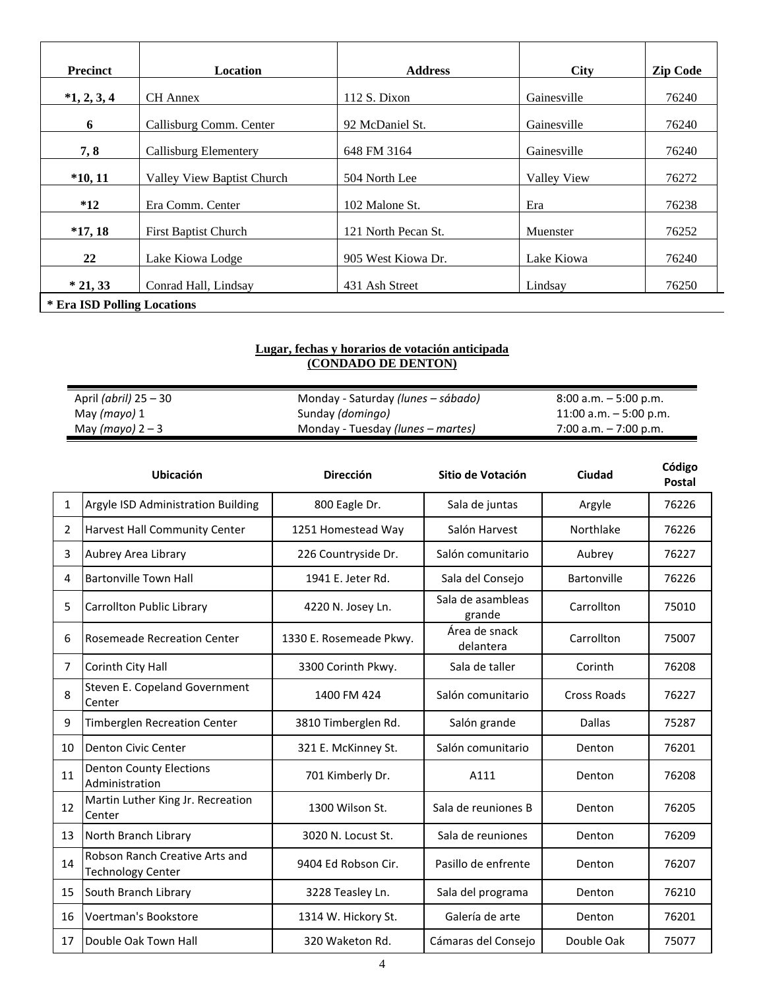| <b>Precinct</b>             | <b>Location</b>             | <b>Address</b>      | <b>City</b> | <b>Zip Code</b> |
|-----------------------------|-----------------------------|---------------------|-------------|-----------------|
| $*1, 2, 3, 4$               | <b>CH</b> Annex             | $112 S.$ Dixon      | Gainesville | 76240           |
| 6                           | Callisburg Comm. Center     | 92 McDaniel St.     | Gainesville | 76240           |
| 7, 8                        | Callisburg Elementery       | 648 FM 3164         | Gainesville | 76240           |
| $*10, 11$                   | Valley View Baptist Church  | 504 North Lee       | Valley View | 76272           |
| $*12$                       | Era Comm. Center            | 102 Malone St.      | Era         | 76238           |
| $*17,18$                    | <b>First Baptist Church</b> | 121 North Pecan St. | Muenster    | 76252           |
| 22                          | Lake Kiowa Lodge            | 905 West Kiowa Dr.  | Lake Kiowa  | 76240           |
| $*21,33$                    | Conrad Hall, Lindsay        | 431 Ash Street      | Lindsay     | 76250           |
| * Era ISD Polling Locations |                             |                     |             |                 |

#### **Lugar, fechas y horarios de votación anticipada (CONDADO DE DENTON)**

| April <i>(abril)</i> 25 – 30 | Monday - Saturday <i>(lunes – sábado)</i> | $8:00$ a.m. $-5:00$ p.m. |
|------------------------------|-------------------------------------------|--------------------------|
| May (mayo) 1                 | Sunday ( <i>domingo</i> )                 | 11:00 a.m. $-5:00$ p.m.  |
| May (mayo) $2-3$             | Monday - Tuesday (lunes – martes)         | $7:00$ a.m. $-7:00$ p.m. |

|    | Ubicación                                                  | <b>Dirección</b>        | Sitio de Votación           | Ciudad             | Código<br>Postal |
|----|------------------------------------------------------------|-------------------------|-----------------------------|--------------------|------------------|
| 1  | Argyle ISD Administration Building                         | 800 Eagle Dr.           | Sala de juntas              | Argyle             | 76226            |
| 2  | <b>Harvest Hall Community Center</b>                       | 1251 Homestead Way      | Salón Harvest               | Northlake          | 76226            |
| 3  | Aubrey Area Library                                        | 226 Countryside Dr.     | Salón comunitario           | Aubrey             | 76227            |
| 4  | <b>Bartonville Town Hall</b>                               | 1941 E. Jeter Rd.       | Sala del Consejo            | Bartonville        | 76226            |
| 5  | Carrollton Public Library                                  | 4220 N. Josey Ln.       | Sala de asambleas<br>grande | Carrollton         | 75010            |
| 6  | <b>Rosemeade Recreation Center</b>                         | 1330 E. Rosemeade Pkwy. | Área de snack<br>delantera  | Carrollton         | 75007            |
| 7  | Corinth City Hall                                          | 3300 Corinth Pkwy.      | Sala de taller              | Corinth            | 76208            |
| 8  | Steven E. Copeland Government<br>Center                    | 1400 FM 424             | Salón comunitario           | <b>Cross Roads</b> | 76227            |
| 9  | Timberglen Recreation Center                               | 3810 Timberglen Rd.     | Salón grande                | Dallas             | 75287            |
| 10 | Denton Civic Center                                        | 321 E. McKinney St.     | Salón comunitario           | Denton             | 76201            |
| 11 | <b>Denton County Elections</b><br>Administration           | 701 Kimberly Dr.        | A111                        | Denton             | 76208            |
| 12 | Martin Luther King Jr. Recreation<br>Center                | 1300 Wilson St.         | Sala de reuniones B         | Denton             | 76205            |
| 13 | North Branch Library                                       | 3020 N. Locust St.      | Sala de reuniones           | Denton             | 76209            |
| 14 | Robson Ranch Creative Arts and<br><b>Technology Center</b> | 9404 Ed Robson Cir.     | Pasillo de enfrente         | Denton             | 76207            |
| 15 | South Branch Library                                       | 3228 Teasley Ln.        | Sala del programa           | Denton             | 76210            |
| 16 | Voertman's Bookstore                                       | 1314 W. Hickory St.     | Galería de arte             | Denton             | 76201            |
| 17 | Double Oak Town Hall                                       | 320 Waketon Rd.         | Cámaras del Consejo         | Double Oak         | 75077            |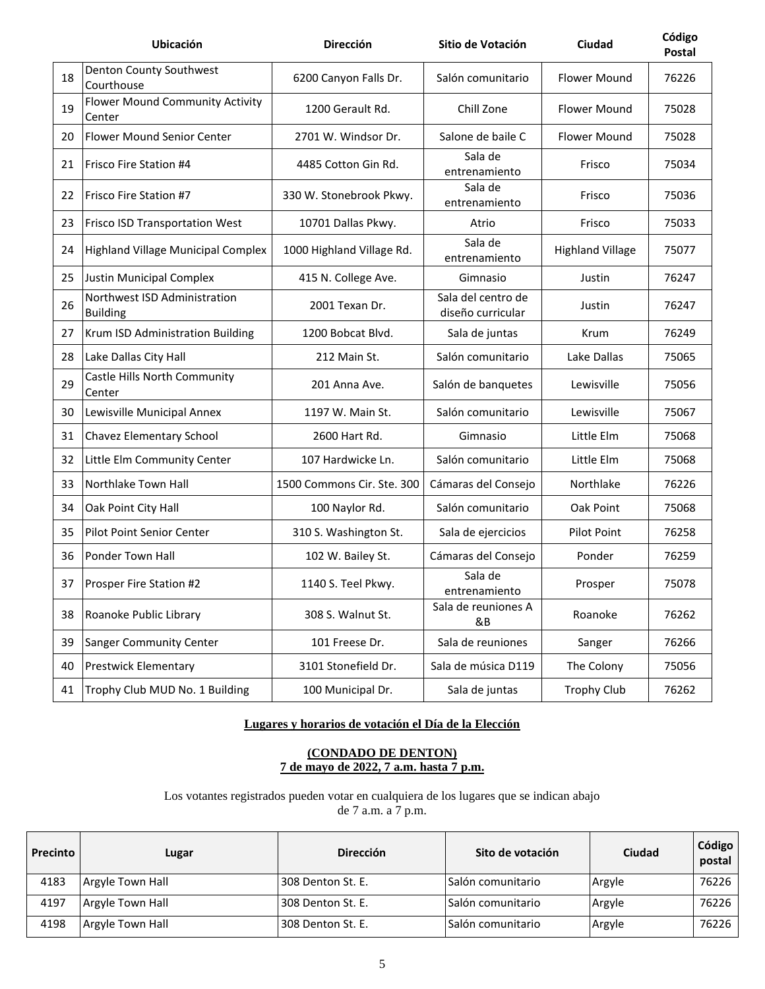|    | Ubicación                                       | Dirección                  | Sitio de Votación                       | Ciudad                  | Código<br>Postal |
|----|-------------------------------------------------|----------------------------|-----------------------------------------|-------------------------|------------------|
| 18 | Denton County Southwest<br>Courthouse           | 6200 Canyon Falls Dr.      | Salón comunitario                       | <b>Flower Mound</b>     | 76226            |
| 19 | Flower Mound Community Activity<br>Center       | 1200 Gerault Rd.           | Chill Zone                              | <b>Flower Mound</b>     | 75028            |
| 20 | <b>Flower Mound Senior Center</b>               | 2701 W. Windsor Dr.        | Salone de baile C                       | <b>Flower Mound</b>     | 75028            |
| 21 | <b>Frisco Fire Station #4</b>                   | 4485 Cotton Gin Rd.        | Sala de<br>entrenamiento                | Frisco                  | 75034            |
| 22 | Frisco Fire Station #7                          | 330 W. Stonebrook Pkwy.    | Sala de<br>entrenamiento                | Frisco                  | 75036            |
| 23 | <b>Frisco ISD Transportation West</b>           | 10701 Dallas Pkwy.         | Atrio                                   | Frisco                  | 75033            |
| 24 | Highland Village Municipal Complex              | 1000 Highland Village Rd.  | Sala de<br>entrenamiento                | <b>Highland Village</b> | 75077            |
| 25 | Justin Municipal Complex                        | 415 N. College Ave.        | Gimnasio                                | Justin                  | 76247            |
| 26 | Northwest ISD Administration<br><b>Building</b> | 2001 Texan Dr.             | Sala del centro de<br>diseño curricular | Justin                  | 76247            |
| 27 | Krum ISD Administration Building                | 1200 Bobcat Blvd.          | Sala de juntas                          | Krum                    | 76249            |
| 28 | Lake Dallas City Hall                           | 212 Main St.               | Salón comunitario                       | Lake Dallas             | 75065            |
| 29 | Castle Hills North Community<br>Center          | 201 Anna Ave.              | Salón de banquetes                      | Lewisville              | 75056            |
| 30 | Lewisville Municipal Annex                      | 1197 W. Main St.           | Salón comunitario                       | Lewisville              | 75067            |
| 31 | Chavez Elementary School                        | 2600 Hart Rd.              | Gimnasio                                | Little Elm              | 75068            |
| 32 | Little Elm Community Center                     | 107 Hardwicke Ln.          | Salón comunitario                       | Little Elm              | 75068            |
| 33 | Northlake Town Hall                             | 1500 Commons Cir. Ste. 300 | Cámaras del Consejo                     | Northlake               | 76226            |
| 34 | Oak Point City Hall                             | 100 Naylor Rd.             | Salón comunitario                       | Oak Point               | 75068            |
| 35 | Pilot Point Senior Center                       | 310 S. Washington St.      | Sala de ejercicios                      | Pilot Point             | 76258            |
| 36 | Ponder Town Hall                                | 102 W. Bailey St.          | Cámaras del Consejo                     | Ponder                  | 76259            |
| 37 | Prosper Fire Station #2                         | 1140 S. Teel Pkwy.         | Sala de<br>entrenamiento                | Prosper                 | 75078            |
| 38 | Roanoke Public Library                          | 308 S. Walnut St.          | Sala de reuniones A<br>&B               | Roanoke                 | 76262            |
| 39 | <b>Sanger Community Center</b>                  | 101 Freese Dr.             | Sala de reuniones                       | Sanger                  | 76266            |
| 40 | <b>Prestwick Elementary</b>                     | 3101 Stonefield Dr.        | Sala de música D119                     | The Colony              | 75056            |
| 41 | Trophy Club MUD No. 1 Building                  | 100 Municipal Dr.          | Sala de juntas                          | <b>Trophy Club</b>      | 76262            |

# **Lugares y horarios de votación el Día de la Elección**

#### **(CONDADO DE DENTON) 7 de mayo de 2022, 7 a.m. hasta 7 p.m.**

Los votantes registrados pueden votar en cualquiera de los lugares que se indican abajo de 7 a.m. a 7 p.m.

| Precinto | Lugar            | <b>Dirección</b>  | Sito de votación   | Ciudad | Código<br>postal |
|----------|------------------|-------------------|--------------------|--------|------------------|
| 4183     | Argyle Town Hall | 308 Denton St. E. | lSalón comunitario | Argyle | 76226            |
| 4197     | Argyle Town Hall | 308 Denton St. E. | ISalón comunitario | Argyle | 76226            |
| 4198     | Argyle Town Hall | 308 Denton St. E. | lSalón comunitario | Argyle | 76226            |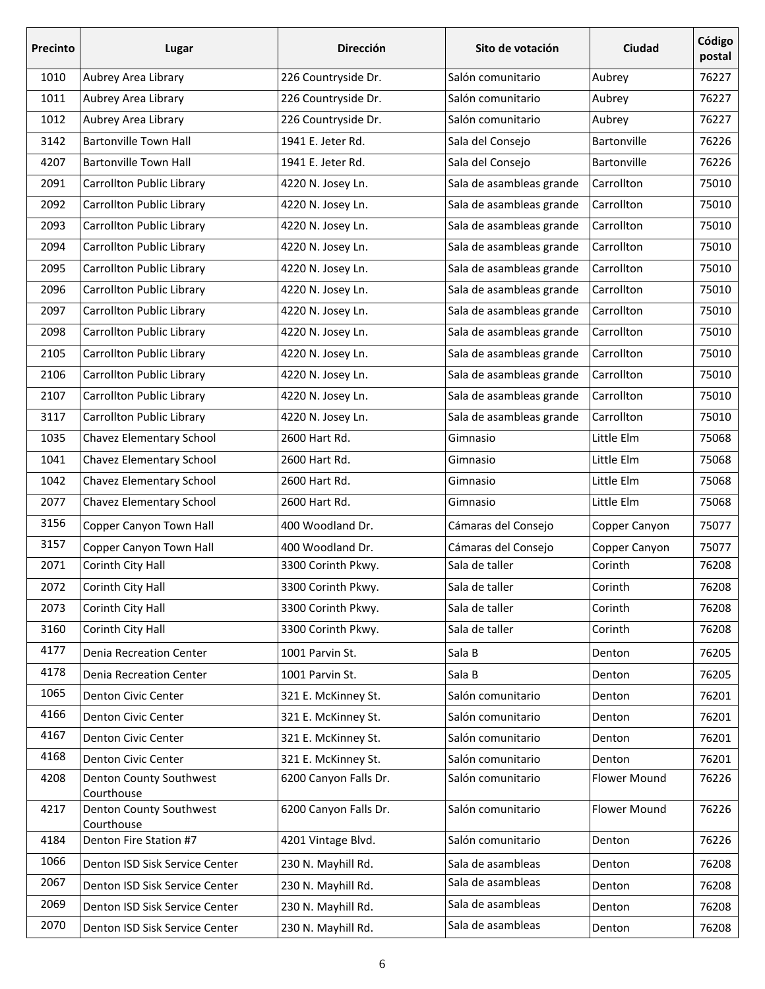| Precinto | Lugar                                               | <b>Dirección</b>      | Sito de votación         | Ciudad              | Código<br>postal |
|----------|-----------------------------------------------------|-----------------------|--------------------------|---------------------|------------------|
| 1010     | Aubrey Area Library                                 | 226 Countryside Dr.   | Salón comunitario        | Aubrey              | 76227            |
| 1011     | Aubrey Area Library                                 | 226 Countryside Dr.   | Salón comunitario        | Aubrey              | 76227            |
| 1012     | Aubrey Area Library                                 | 226 Countryside Dr.   | Salón comunitario        | Aubrey              | 76227            |
| 3142     | <b>Bartonville Town Hall</b>                        | 1941 E. Jeter Rd.     | Sala del Consejo         | Bartonville         | 76226            |
| 4207     | <b>Bartonville Town Hall</b>                        | 1941 E. Jeter Rd.     | Sala del Consejo         | Bartonville         | 76226            |
| 2091     | Carrollton Public Library                           | 4220 N. Josey Ln.     | Sala de asambleas grande | Carrollton          | 75010            |
| 2092     | Carrollton Public Library                           | 4220 N. Josey Ln.     | Sala de asambleas grande | Carrollton          | 75010            |
| 2093     | Carrollton Public Library                           | 4220 N. Josey Ln.     | Sala de asambleas grande | Carrollton          | 75010            |
| 2094     | Carrollton Public Library                           | 4220 N. Josey Ln.     | Sala de asambleas grande | Carrollton          | 75010            |
| 2095     | Carrollton Public Library                           | 4220 N. Josey Ln.     | Sala de asambleas grande | Carrollton          | 75010            |
| 2096     | Carrollton Public Library                           | 4220 N. Josey Ln.     | Sala de asambleas grande | Carrollton          | 75010            |
| 2097     | Carrollton Public Library                           | 4220 N. Josey Ln.     | Sala de asambleas grande | Carrollton          | 75010            |
| 2098     | Carrollton Public Library                           | 4220 N. Josey Ln.     | Sala de asambleas grande | Carrollton          | 75010            |
| 2105     | Carrollton Public Library                           | 4220 N. Josey Ln.     | Sala de asambleas grande | Carrollton          | 75010            |
| 2106     | <b>Carrollton Public Library</b>                    | 4220 N. Josey Ln.     | Sala de asambleas grande | Carrollton          | 75010            |
| 2107     | Carrollton Public Library                           | 4220 N. Josey Ln.     | Sala de asambleas grande | Carrollton          | 75010            |
| 3117     | Carrollton Public Library                           | 4220 N. Josey Ln.     | Sala de asambleas grande | Carrollton          | 75010            |
| 1035     | Chavez Elementary School                            | 2600 Hart Rd.         | Gimnasio                 | Little Elm          | 75068            |
| 1041     | Chavez Elementary School                            | 2600 Hart Rd.         | Gimnasio                 | Little Elm          | 75068            |
| 1042     | Chavez Elementary School                            | 2600 Hart Rd.         | Gimnasio                 | Little Elm          | 75068            |
| 2077     | Chavez Elementary School                            | 2600 Hart Rd.         | Gimnasio                 | Little Elm          | 75068            |
| 3156     | Copper Canyon Town Hall                             | 400 Woodland Dr.      | Cámaras del Consejo      | Copper Canyon       | 75077            |
| 3157     | Copper Canyon Town Hall                             | 400 Woodland Dr.      | Cámaras del Consejo      | Copper Canyon       | 75077            |
| 2071     | Corinth City Hall                                   | 3300 Corinth Pkwy.    | Sala de taller           | Corinth             | 76208            |
| 2072     | Corinth City Hall                                   | 3300 Corinth Pkwy.    | Sala de taller           | Corinth             | 76208            |
| 2073     | Corinth City Hall                                   | 3300 Corinth Pkwy.    | Sala de taller           | Corinth             | 76208            |
| 3160     | Corinth City Hall                                   | 3300 Corinth Pkwy.    | Sala de taller           | Corinth             | 76208            |
| 4177     | <b>Denia Recreation Center</b>                      | 1001 Parvin St.       | Sala B                   | Denton              | 76205            |
| 4178     | Denia Recreation Center                             | 1001 Parvin St.       | Sala B                   | Denton              | 76205            |
| 1065     | Denton Civic Center                                 | 321 E. McKinney St.   | Salón comunitario        | Denton              | 76201            |
| 4166     | Denton Civic Center                                 | 321 E. McKinney St.   | Salón comunitario        | Denton              | 76201            |
| 4167     | Denton Civic Center                                 | 321 E. McKinney St.   | Salón comunitario        | Denton              | 76201            |
| 4168     | Denton Civic Center                                 | 321 E. McKinney St.   | Salón comunitario        | Denton              | 76201            |
| 4208     | Denton County Southwest                             | 6200 Canyon Falls Dr. | Salón comunitario        | <b>Flower Mound</b> | 76226            |
| 4217     | Courthouse<br>Denton County Southwest<br>Courthouse | 6200 Canyon Falls Dr. | Salón comunitario        | Flower Mound        | 76226            |
| 4184     | Denton Fire Station #7                              | 4201 Vintage Blvd.    | Salón comunitario        | Denton              | 76226            |
| 1066     | Denton ISD Sisk Service Center                      | 230 N. Mayhill Rd.    | Sala de asambleas        | Denton              | 76208            |
| 2067     | Denton ISD Sisk Service Center                      | 230 N. Mayhill Rd.    | Sala de asambleas        | Denton              | 76208            |
| 2069     | Denton ISD Sisk Service Center                      | 230 N. Mayhill Rd.    | Sala de asambleas        | Denton              | 76208            |
| 2070     | Denton ISD Sisk Service Center                      | 230 N. Mayhill Rd.    | Sala de asambleas        | Denton              | 76208            |
|          |                                                     |                       |                          |                     |                  |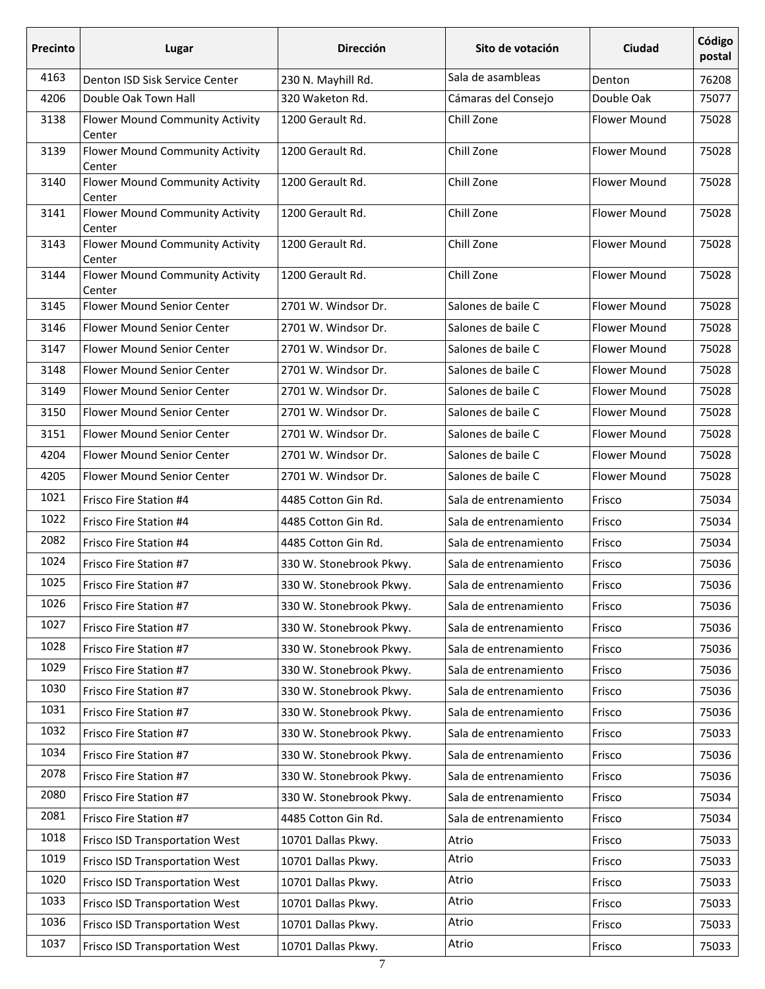| <b>Precinto</b> | Lugar                                     | <b>Dirección</b><br><b>Ciudad</b><br>Sito de votación |                       |                     | Código<br>postal |
|-----------------|-------------------------------------------|-------------------------------------------------------|-----------------------|---------------------|------------------|
| 4163            | Denton ISD Sisk Service Center            | 230 N. Mayhill Rd.                                    | Sala de asambleas     | Denton              | 76208            |
| 4206            | Double Oak Town Hall                      | 320 Waketon Rd.                                       | Cámaras del Consejo   | Double Oak          | 75077            |
| 3138            | Flower Mound Community Activity<br>Center | 1200 Gerault Rd.                                      | Chill Zone            | <b>Flower Mound</b> | 75028            |
| 3139            | Flower Mound Community Activity<br>Center | 1200 Gerault Rd.                                      | Chill Zone            | <b>Flower Mound</b> | 75028            |
| 3140            | Flower Mound Community Activity<br>Center | 1200 Gerault Rd.                                      | Chill Zone            | <b>Flower Mound</b> | 75028            |
| 3141            | Flower Mound Community Activity<br>Center | 1200 Gerault Rd.                                      | Chill Zone            | <b>Flower Mound</b> | 75028            |
| 3143            | Flower Mound Community Activity<br>Center | 1200 Gerault Rd.                                      | Chill Zone            | <b>Flower Mound</b> | 75028            |
| 3144            | Flower Mound Community Activity<br>Center | 1200 Gerault Rd.                                      | Chill Zone            | <b>Flower Mound</b> | 75028            |
| 3145            | Flower Mound Senior Center                | 2701 W. Windsor Dr.                                   | Salones de baile C    | <b>Flower Mound</b> | 75028            |
| 3146            | <b>Flower Mound Senior Center</b>         | 2701 W. Windsor Dr.                                   | Salones de baile C    | <b>Flower Mound</b> | 75028            |
| 3147            | Flower Mound Senior Center                | 2701 W. Windsor Dr.                                   | Salones de baile C    | <b>Flower Mound</b> | 75028            |
| 3148            | Flower Mound Senior Center                | 2701 W. Windsor Dr.                                   | Salones de baile C    | <b>Flower Mound</b> | 75028            |
| 3149            | Flower Mound Senior Center                | 2701 W. Windsor Dr.                                   | Salones de baile C    | <b>Flower Mound</b> | 75028            |
| 3150            | Flower Mound Senior Center                | 2701 W. Windsor Dr.                                   | Salones de baile C    | <b>Flower Mound</b> | 75028            |
| 3151            | Flower Mound Senior Center                | 2701 W. Windsor Dr.                                   | Salones de baile C    | <b>Flower Mound</b> | 75028            |
| 4204            | Flower Mound Senior Center                | 2701 W. Windsor Dr.                                   | Salones de baile C    | <b>Flower Mound</b> | 75028            |
| 4205            | Flower Mound Senior Center                | 2701 W. Windsor Dr.                                   | Salones de baile C    | <b>Flower Mound</b> | 75028            |
| 1021            | Frisco Fire Station #4                    | 4485 Cotton Gin Rd.                                   | Sala de entrenamiento | Frisco              | 75034            |
| 1022            | Frisco Fire Station #4                    | 4485 Cotton Gin Rd.                                   | Sala de entrenamiento | Frisco              | 75034            |
| 2082            | Frisco Fire Station #4                    | 4485 Cotton Gin Rd.                                   | Sala de entrenamiento | Frisco              | 75034            |
| 1024            | Frisco Fire Station #7                    | 330 W. Stonebrook Pkwy.                               | Sala de entrenamiento | Frisco              | 75036            |
| 1025            | Frisco Fire Station #7                    | 330 W. Stonebrook Pkwy.                               | Sala de entrenamiento | Frisco              | 75036            |
| 1026            | Frisco Fire Station #7                    | 330 W. Stonebrook Pkwy.                               | Sala de entrenamiento | Frisco              | 75036            |
| 1027            | Frisco Fire Station #7                    | 330 W. Stonebrook Pkwy.                               | Sala de entrenamiento | Frisco              | 75036            |
| 1028            | Frisco Fire Station #7                    | 330 W. Stonebrook Pkwy.                               | Sala de entrenamiento | Frisco              | 75036            |
| 1029            | Frisco Fire Station #7                    | 330 W. Stonebrook Pkwy.                               | Sala de entrenamiento | Frisco              | 75036            |
| 1030            | Frisco Fire Station #7                    | 330 W. Stonebrook Pkwy.                               | Sala de entrenamiento | Frisco              | 75036            |
| 1031            | Frisco Fire Station #7                    | 330 W. Stonebrook Pkwy.                               | Sala de entrenamiento | Frisco              | 75036            |
| 1032            | Frisco Fire Station #7                    | 330 W. Stonebrook Pkwy.                               | Sala de entrenamiento | Frisco              | 75033            |
| 1034            | Frisco Fire Station #7                    | 330 W. Stonebrook Pkwy.                               | Sala de entrenamiento | Frisco              | 75036            |
| 2078            | Frisco Fire Station #7                    | 330 W. Stonebrook Pkwy.                               | Sala de entrenamiento | Frisco              | 75036            |
| 2080            | Frisco Fire Station #7                    | 330 W. Stonebrook Pkwy.                               | Sala de entrenamiento | Frisco              | 75034            |
| 2081            | Frisco Fire Station #7                    | 4485 Cotton Gin Rd.                                   | Sala de entrenamiento | Frisco              | 75034            |
| 1018            | Frisco ISD Transportation West            | 10701 Dallas Pkwy.                                    | Atrio                 | Frisco              | 75033            |
| 1019            | Frisco ISD Transportation West            | 10701 Dallas Pkwy.                                    | Atrio                 | Frisco              | 75033            |
| 1020            | Frisco ISD Transportation West            | 10701 Dallas Pkwy.                                    | Atrio                 | Frisco              | 75033            |
| 1033            | Frisco ISD Transportation West            | 10701 Dallas Pkwy.                                    | Atrio                 | Frisco              | 75033            |
| 1036            | Frisco ISD Transportation West            | 10701 Dallas Pkwy.                                    | Atrio                 | Frisco              | 75033            |
| 1037            | Frisco ISD Transportation West            | 10701 Dallas Pkwy.                                    | Atrio                 | Frisco              | 75033            |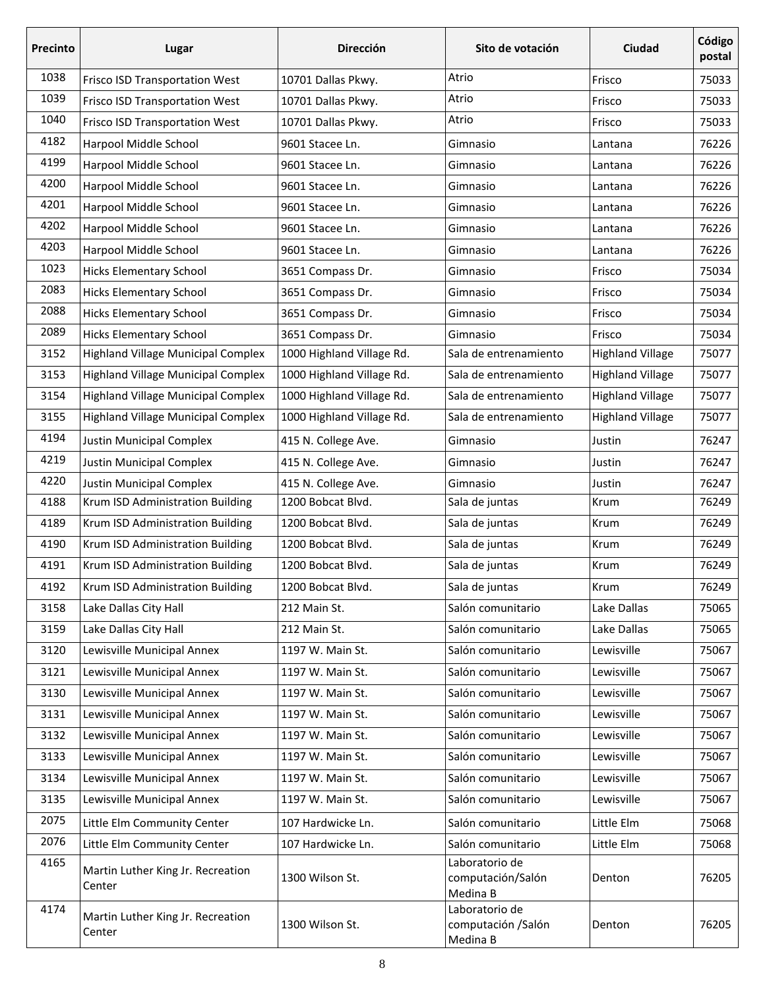| <b>Precinto</b> | Lugar                                       | <b>Dirección</b>          | Ciudad<br>Sito de votación                        |                         | Código<br>postal |
|-----------------|---------------------------------------------|---------------------------|---------------------------------------------------|-------------------------|------------------|
| 1038            | Frisco ISD Transportation West              | 10701 Dallas Pkwy.        | Atrio                                             | Frisco                  | 75033            |
| 1039            | Frisco ISD Transportation West              | 10701 Dallas Pkwy.        | Atrio                                             | Frisco                  | 75033            |
| 1040            | Frisco ISD Transportation West              | 10701 Dallas Pkwy.        | Atrio                                             | Frisco                  | 75033            |
| 4182            | Harpool Middle School                       | 9601 Stacee Ln.           | Gimnasio                                          | Lantana                 | 76226            |
| 4199            | Harpool Middle School                       | 9601 Stacee Ln.           | Gimnasio                                          | Lantana                 | 76226            |
| 4200            | Harpool Middle School                       | 9601 Stacee Ln.           | Gimnasio                                          | Lantana                 | 76226            |
| 4201            | Harpool Middle School                       | 9601 Stacee Ln.           | Gimnasio                                          | Lantana                 | 76226            |
| 4202            | Harpool Middle School                       | 9601 Stacee Ln.           | Gimnasio                                          | Lantana                 | 76226            |
| 4203            | Harpool Middle School                       | 9601 Stacee Ln.           | Gimnasio                                          | Lantana                 | 76226            |
| 1023            | <b>Hicks Elementary School</b>              | 3651 Compass Dr.          | Gimnasio                                          | Frisco                  | 75034            |
| 2083            | <b>Hicks Elementary School</b>              | 3651 Compass Dr.          | Gimnasio                                          | Frisco                  | 75034            |
| 2088            | <b>Hicks Elementary School</b>              | 3651 Compass Dr.          | Gimnasio                                          | Frisco                  | 75034            |
| 2089            | <b>Hicks Elementary School</b>              | 3651 Compass Dr.          | Gimnasio                                          | Frisco                  | 75034            |
| 3152            | <b>Highland Village Municipal Complex</b>   | 1000 Highland Village Rd. | Sala de entrenamiento                             | <b>Highland Village</b> | 75077            |
| 3153            | <b>Highland Village Municipal Complex</b>   | 1000 Highland Village Rd. | Sala de entrenamiento                             | <b>Highland Village</b> | 75077            |
| 3154            | <b>Highland Village Municipal Complex</b>   | 1000 Highland Village Rd. | Sala de entrenamiento                             | <b>Highland Village</b> | 75077            |
| 3155            | <b>Highland Village Municipal Complex</b>   | 1000 Highland Village Rd. | Sala de entrenamiento                             | <b>Highland Village</b> | 75077            |
| 4194            | <b>Justin Municipal Complex</b>             | 415 N. College Ave.       | Justin<br>Gimnasio                                |                         | 76247            |
| 4219            | Justin Municipal Complex                    | 415 N. College Ave.       | Gimnasio                                          | Justin                  | 76247            |
| 4220            | <b>Justin Municipal Complex</b>             | 415 N. College Ave.       | Gimnasio                                          | Justin                  | 76247            |
| 4188            | Krum ISD Administration Building            | 1200 Bobcat Blvd.         | Sala de juntas                                    | Krum                    | 76249            |
| 4189            | Krum ISD Administration Building            | 1200 Bobcat Blvd.         | Sala de juntas                                    | Krum                    | 76249            |
| 4190            | Krum ISD Administration Building            | 1200 Bobcat Blvd.         | Sala de juntas                                    | Krum                    | 76249            |
| 4191            | Krum ISD Administration Building            | 1200 Bobcat Blvd.         | Sala de juntas                                    | Krum                    | 76249            |
| 4192            | Krum ISD Administration Building            | 1200 Bobcat Blvd.         | Sala de juntas                                    | Krum                    | 76249            |
| 3158            | Lake Dallas City Hall                       | 212 Main St.              | Salón comunitario                                 | Lake Dallas             | 75065            |
| 3159            | Lake Dallas City Hall                       | 212 Main St.              | Salón comunitario                                 | Lake Dallas             | 75065            |
| 3120            | Lewisville Municipal Annex                  | 1197 W. Main St.          | Salón comunitario                                 | Lewisville              | 75067            |
| 3121            | Lewisville Municipal Annex                  | 1197 W. Main St.          | Salón comunitario                                 | Lewisville              | 75067            |
| 3130            | Lewisville Municipal Annex                  | 1197 W. Main St.          | Salón comunitario                                 | Lewisville              | 75067            |
| 3131            | Lewisville Municipal Annex                  | 1197 W. Main St.          | Salón comunitario                                 | Lewisville              | 75067            |
| 3132            | Lewisville Municipal Annex                  | 1197 W. Main St.          | Salón comunitario                                 | Lewisville              | 75067            |
| 3133            | Lewisville Municipal Annex                  | 1197 W. Main St.          | Salón comunitario                                 | Lewisville              | 75067            |
| 3134            | Lewisville Municipal Annex                  | 1197 W. Main St.          | Salón comunitario                                 | Lewisville              | 75067            |
| 3135            | Lewisville Municipal Annex                  | 1197 W. Main St.          | Salón comunitario                                 | Lewisville              | 75067            |
| 2075            | Little Elm Community Center                 | 107 Hardwicke Ln.         | Salón comunitario                                 | Little Elm              | 75068            |
| 2076            | Little Elm Community Center                 | 107 Hardwicke Ln.         | Salón comunitario                                 | Little Elm              | 75068            |
| 4165            | Martin Luther King Jr. Recreation<br>Center | 1300 Wilson St.           | Laboratorio de<br>computación/Salón<br>Medina B   | Denton                  | 76205            |
| 4174            | Martin Luther King Jr. Recreation<br>Center | 1300 Wilson St.           | Laboratorio de<br>computación / Salón<br>Medina B | Denton                  | 76205            |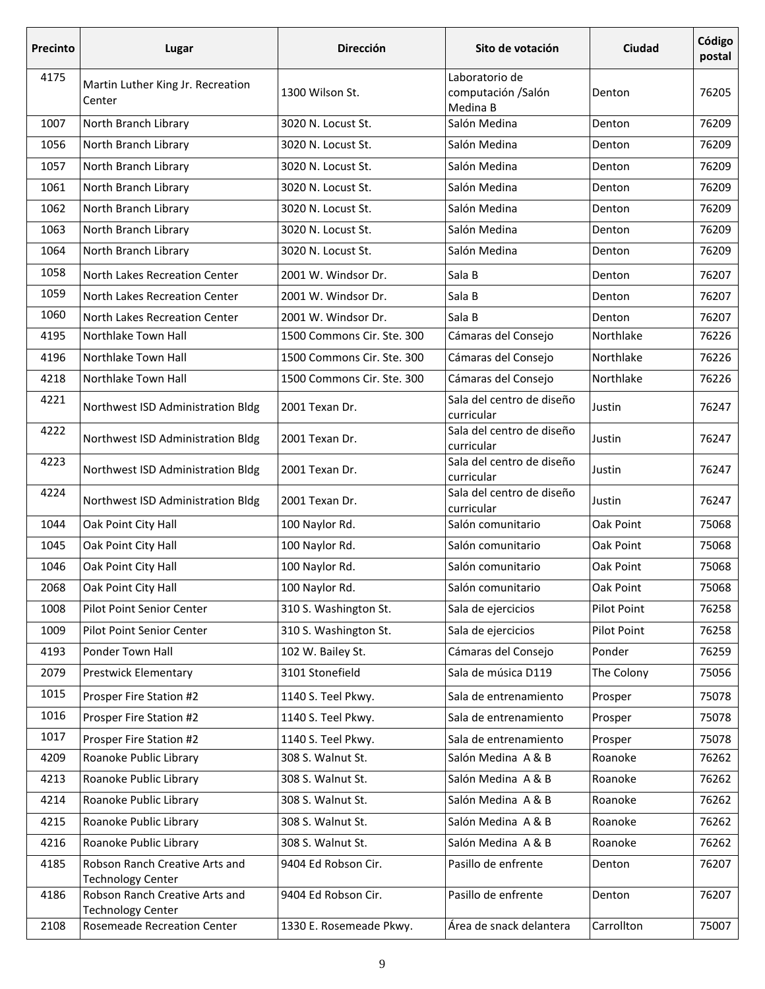| Precinto | Lugar                                                      | <b>Dirección</b><br>Ciudad<br>Sito de votación |                                                   | Código<br>postal |       |
|----------|------------------------------------------------------------|------------------------------------------------|---------------------------------------------------|------------------|-------|
| 4175     | Martin Luther King Jr. Recreation<br>Center                | 1300 Wilson St.                                | Laboratorio de<br>computación / Salón<br>Medina B | Denton           | 76205 |
| 1007     | North Branch Library                                       | 3020 N. Locust St.                             | Salón Medina                                      | Denton           | 76209 |
| 1056     | North Branch Library                                       | 3020 N. Locust St.                             | Salón Medina                                      | Denton           | 76209 |
| 1057     | North Branch Library                                       | 3020 N. Locust St.                             | Salón Medina                                      | Denton           | 76209 |
| 1061     | North Branch Library                                       | 3020 N. Locust St.                             | Salón Medina                                      | Denton           | 76209 |
| 1062     | North Branch Library                                       | 3020 N. Locust St.                             | Salón Medina                                      | Denton           | 76209 |
| 1063     | North Branch Library                                       | 3020 N. Locust St.                             | Salón Medina                                      | Denton           | 76209 |
| 1064     | North Branch Library                                       | 3020 N. Locust St.                             | Salón Medina                                      | Denton           | 76209 |
| 1058     | North Lakes Recreation Center                              | 2001 W. Windsor Dr.                            | Sala B                                            | Denton           | 76207 |
| 1059     | North Lakes Recreation Center                              | 2001 W. Windsor Dr.                            | Sala B                                            | Denton           | 76207 |
| 1060     | North Lakes Recreation Center                              | 2001 W. Windsor Dr.                            | Sala B                                            | Denton           | 76207 |
| 4195     | Northlake Town Hall                                        | 1500 Commons Cir. Ste. 300                     | Cámaras del Consejo                               | Northlake        | 76226 |
| 4196     | Northlake Town Hall                                        | 1500 Commons Cir. Ste. 300                     | Cámaras del Consejo                               | Northlake        | 76226 |
| 4218     | Northlake Town Hall                                        | 1500 Commons Cir. Ste. 300                     | Cámaras del Consejo                               | Northlake        | 76226 |
| 4221     | Northwest ISD Administration Bldg                          | 2001 Texan Dr.                                 | Sala del centro de diseño<br>curricular           | Justin           | 76247 |
| 4222     | Northwest ISD Administration Bldg                          | 2001 Texan Dr.                                 | Sala del centro de diseño<br>curricular           | Justin           | 76247 |
| 4223     | Northwest ISD Administration Bldg                          | 2001 Texan Dr.                                 | Sala del centro de diseño<br>curricular           | Justin           | 76247 |
| 4224     | Northwest ISD Administration Bldg                          | 2001 Texan Dr.                                 | Sala del centro de diseño<br>curricular           | Justin           | 76247 |
| 1044     | Oak Point City Hall                                        | 100 Naylor Rd.                                 | Salón comunitario                                 | Oak Point        | 75068 |
| 1045     | Oak Point City Hall                                        | 100 Naylor Rd.                                 | Salón comunitario                                 | Oak Point        | 75068 |
| 1046     | Oak Point City Hall                                        | 100 Naylor Rd.                                 | Salón comunitario                                 | Oak Point        | 75068 |
| 2068     | Oak Point City Hall                                        | 100 Naylor Rd.                                 | Salón comunitario                                 | Oak Point        | 75068 |
| 1008     | Pilot Point Senior Center                                  | 310 S. Washington St.                          | Sala de ejercicios                                | Pilot Point      | 76258 |
| 1009     | Pilot Point Senior Center                                  | 310 S. Washington St.                          | Sala de ejercicios                                | Pilot Point      | 76258 |
| 4193     | Ponder Town Hall                                           | 102 W. Bailey St.                              | Cámaras del Consejo                               | Ponder           | 76259 |
| 2079     | <b>Prestwick Elementary</b>                                | 3101 Stonefield                                | Sala de música D119                               | The Colony       | 75056 |
| 1015     | Prosper Fire Station #2                                    | 1140 S. Teel Pkwy.                             | Sala de entrenamiento                             | Prosper          | 75078 |
| 1016     | Prosper Fire Station #2                                    | 1140 S. Teel Pkwy.                             | Sala de entrenamiento                             | Prosper          | 75078 |
| 1017     | Prosper Fire Station #2                                    | 1140 S. Teel Pkwy.                             | Sala de entrenamiento                             | Prosper          | 75078 |
| 4209     | Roanoke Public Library                                     | 308 S. Walnut St.                              | Salón Medina A & B                                | Roanoke          | 76262 |
| 4213     | Roanoke Public Library                                     | 308 S. Walnut St.                              | Salón Medina A & B                                | Roanoke          | 76262 |
| 4214     | Roanoke Public Library                                     | 308 S. Walnut St.                              | Salón Medina A & B                                | Roanoke          | 76262 |
| 4215     | Roanoke Public Library                                     | 308 S. Walnut St.                              | Salón Medina A & B                                | Roanoke          | 76262 |
| 4216     | Roanoke Public Library                                     | 308 S. Walnut St.                              | Salón Medina A & B                                | Roanoke          | 76262 |
| 4185     | Robson Ranch Creative Arts and<br><b>Technology Center</b> | 9404 Ed Robson Cir.                            | Pasillo de enfrente                               | Denton           | 76207 |
| 4186     | Robson Ranch Creative Arts and<br><b>Technology Center</b> | 9404 Ed Robson Cir.                            | Pasillo de enfrente                               | Denton           | 76207 |
| 2108     | Rosemeade Recreation Center                                | 1330 E. Rosemeade Pkwy.                        | Área de snack delantera                           | Carrollton       | 75007 |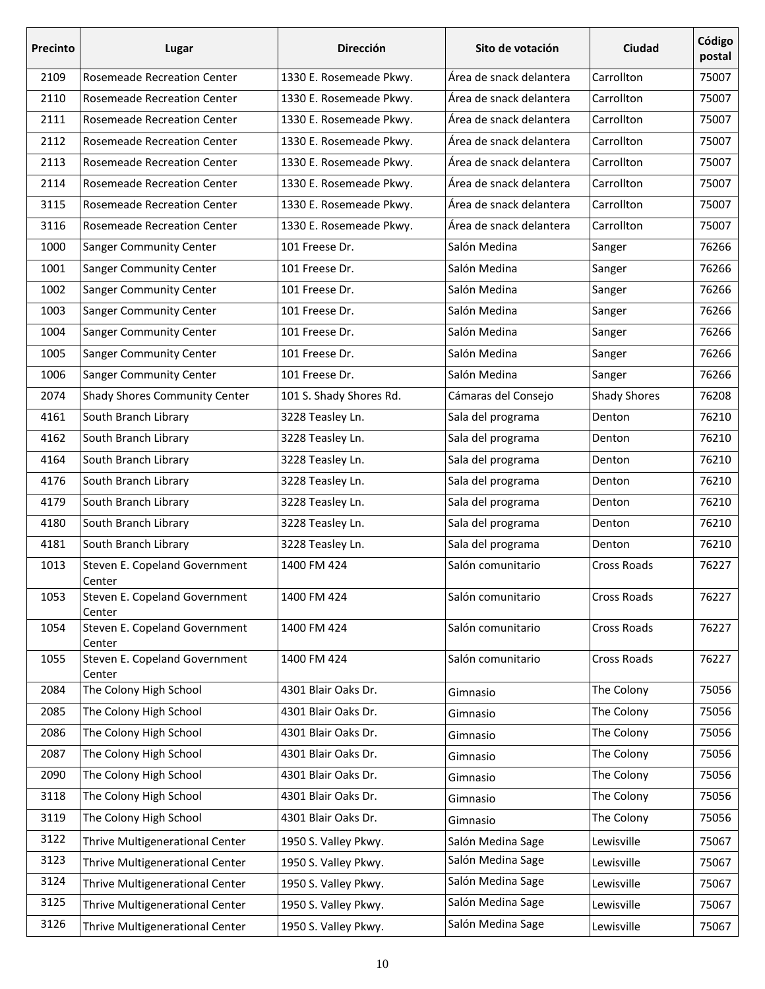| Precinto | Lugar                                   | <b>Dirección</b>        | Sito de votación        | Ciudad              | Código<br>postal |
|----------|-----------------------------------------|-------------------------|-------------------------|---------------------|------------------|
| 2109     | <b>Rosemeade Recreation Center</b>      | 1330 E. Rosemeade Pkwy. | Área de snack delantera | Carrollton          | 75007            |
| 2110     | Rosemeade Recreation Center             | 1330 E. Rosemeade Pkwy. | Área de snack delantera | Carrollton          | 75007            |
| 2111     | Rosemeade Recreation Center             | 1330 E. Rosemeade Pkwy. | Área de snack delantera | Carrollton          | 75007            |
| 2112     | Rosemeade Recreation Center             | 1330 E. Rosemeade Pkwy. | Área de snack delantera | Carrollton          | 75007            |
| 2113     | Rosemeade Recreation Center             | 1330 E. Rosemeade Pkwy. | Área de snack delantera | Carrollton          | 75007            |
| 2114     | <b>Rosemeade Recreation Center</b>      | 1330 E. Rosemeade Pkwy. | Área de snack delantera | Carrollton          | 75007            |
| 3115     | Rosemeade Recreation Center             | 1330 E. Rosemeade Pkwy. | Área de snack delantera | Carrollton          | 75007            |
| 3116     | Rosemeade Recreation Center             | 1330 E. Rosemeade Pkwy. | Área de snack delantera | Carrollton          | 75007            |
| 1000     | <b>Sanger Community Center</b>          | 101 Freese Dr.          | Salón Medina            | Sanger              | 76266            |
| 1001     | <b>Sanger Community Center</b>          | 101 Freese Dr.          | Salón Medina            | Sanger              | 76266            |
| 1002     | <b>Sanger Community Center</b>          | 101 Freese Dr.          | Salón Medina            | Sanger              | 76266            |
| 1003     | Sanger Community Center                 | 101 Freese Dr.          | Salón Medina            | Sanger              | 76266            |
| 1004     | <b>Sanger Community Center</b>          | 101 Freese Dr.          | Salón Medina            | Sanger              | 76266            |
| 1005     | Sanger Community Center                 | 101 Freese Dr.          | Salón Medina            | Sanger              | 76266            |
| 1006     | <b>Sanger Community Center</b>          | 101 Freese Dr.          | Salón Medina            | Sanger              | 76266            |
| 2074     | <b>Shady Shores Community Center</b>    | 101 S. Shady Shores Rd. | Cámaras del Consejo     | <b>Shady Shores</b> | 76208            |
| 4161     | South Branch Library                    | 3228 Teasley Ln.        | Sala del programa       | Denton              | 76210            |
| 4162     | South Branch Library                    | 3228 Teasley Ln.        | Sala del programa       | Denton              | 76210            |
| 4164     | South Branch Library                    | 3228 Teasley Ln.        | Sala del programa       | Denton              | 76210            |
| 4176     | South Branch Library                    | 3228 Teasley Ln.        | Sala del programa       | Denton              | 76210            |
| 4179     | South Branch Library                    | 3228 Teasley Ln.        | Sala del programa       | Denton              | 76210            |
| 4180     | South Branch Library                    | 3228 Teasley Ln.        | Sala del programa       | Denton              | 76210            |
| 4181     | South Branch Library                    | 3228 Teasley Ln.        | Sala del programa       | Denton              | 76210            |
| 1013     | Steven E. Copeland Government<br>Center | 1400 FM 424             | Salón comunitario       | Cross Roads         | 76227            |
| 1053     | Steven E. Copeland Government<br>Center | 1400 FM 424             | Salón comunitario       | Cross Roads         | 76227            |
| 1054     | Steven E. Copeland Government<br>Center | 1400 FM 424             | Salón comunitario       | Cross Roads         | 76227            |
| 1055     | Steven E. Copeland Government<br>Center | 1400 FM 424             | Salón comunitario       | Cross Roads         | 76227            |
| 2084     | The Colony High School                  | 4301 Blair Oaks Dr.     | Gimnasio                | The Colony          | 75056            |
| 2085     | The Colony High School                  | 4301 Blair Oaks Dr.     | Gimnasio                | The Colony          | 75056            |
| 2086     | The Colony High School                  | 4301 Blair Oaks Dr.     | Gimnasio                | The Colony          | 75056            |
| 2087     | The Colony High School                  | 4301 Blair Oaks Dr.     | Gimnasio                | The Colony          | 75056            |
| 2090     | The Colony High School                  | 4301 Blair Oaks Dr.     | Gimnasio                | The Colony          | 75056            |
| 3118     | The Colony High School                  | 4301 Blair Oaks Dr.     | Gimnasio                | The Colony          | 75056            |
| 3119     | The Colony High School                  | 4301 Blair Oaks Dr.     | Gimnasio                | The Colony          | 75056            |
| 3122     | Thrive Multigenerational Center         | 1950 S. Valley Pkwy.    | Salón Medina Sage       | Lewisville          | 75067            |
| 3123     | Thrive Multigenerational Center         | 1950 S. Valley Pkwy.    | Salón Medina Sage       | Lewisville          | 75067            |
| 3124     | Thrive Multigenerational Center         | 1950 S. Valley Pkwy.    | Salón Medina Sage       | Lewisville          | 75067            |
| 3125     | Thrive Multigenerational Center         | 1950 S. Valley Pkwy.    | Salón Medina Sage       | Lewisville          | 75067            |
| 3126     | Thrive Multigenerational Center         | 1950 S. Valley Pkwy.    | Salón Medina Sage       | Lewisville          | 75067            |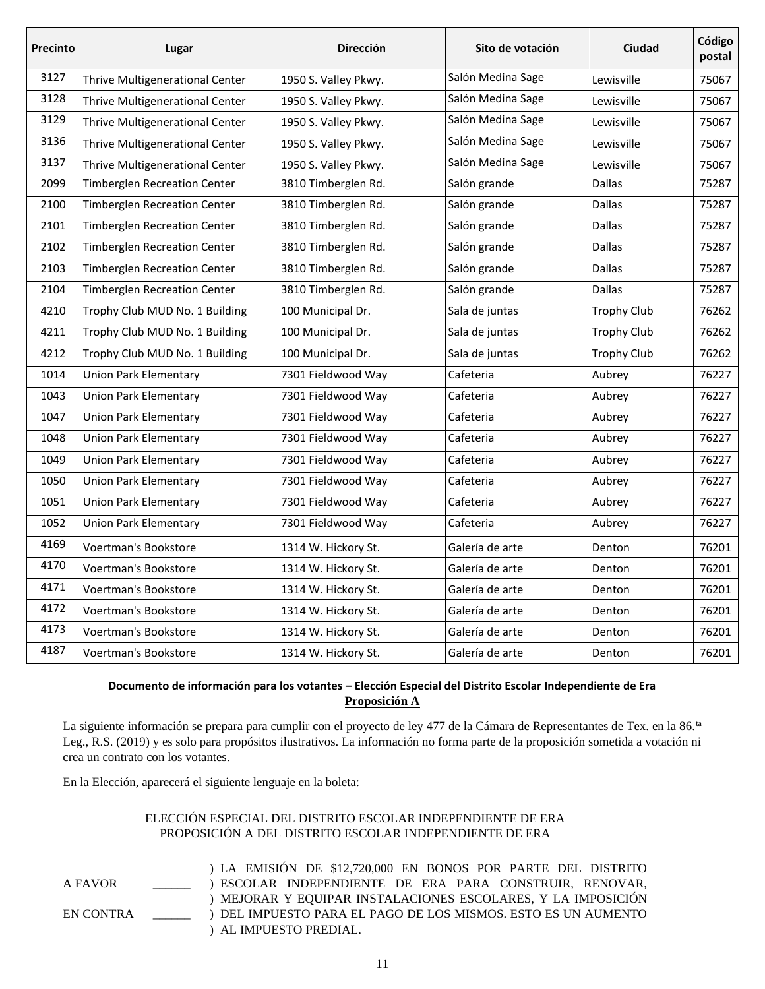| Precinto | Lugar                               | <b>Dirección</b>     | Sito de votación  | <b>Ciudad</b>      | Código<br>postal |
|----------|-------------------------------------|----------------------|-------------------|--------------------|------------------|
| 3127     | Thrive Multigenerational Center     | 1950 S. Valley Pkwy. | Salón Medina Sage | Lewisville         | 75067            |
| 3128     | Thrive Multigenerational Center     | 1950 S. Valley Pkwy. | Salón Medina Sage | Lewisville         | 75067            |
| 3129     | Thrive Multigenerational Center     | 1950 S. Valley Pkwy. | Salón Medina Sage | Lewisville         | 75067            |
| 3136     | Thrive Multigenerational Center     | 1950 S. Valley Pkwy. | Salón Medina Sage | Lewisville         | 75067            |
| 3137     | Thrive Multigenerational Center     | 1950 S. Valley Pkwy. | Salón Medina Sage | Lewisville         | 75067            |
| 2099     | <b>Timberglen Recreation Center</b> | 3810 Timberglen Rd.  | Salón grande      | <b>Dallas</b>      | 75287            |
| 2100     | <b>Timberglen Recreation Center</b> | 3810 Timberglen Rd.  | Salón grande      | <b>Dallas</b>      | 75287            |
| 2101     | <b>Timberglen Recreation Center</b> | 3810 Timberglen Rd.  | Salón grande      | <b>Dallas</b>      | 75287            |
| 2102     | <b>Timberglen Recreation Center</b> | 3810 Timberglen Rd.  | Salón grande      | <b>Dallas</b>      | 75287            |
| 2103     | <b>Timberglen Recreation Center</b> | 3810 Timberglen Rd.  | Salón grande      | <b>Dallas</b>      | 75287            |
| 2104     | <b>Timberglen Recreation Center</b> | 3810 Timberglen Rd.  | Salón grande      | <b>Dallas</b>      | 75287            |
| 4210     | Trophy Club MUD No. 1 Building      | 100 Municipal Dr.    | Sala de juntas    | <b>Trophy Club</b> | 76262            |
| 4211     | Trophy Club MUD No. 1 Building      | 100 Municipal Dr.    | Sala de juntas    | <b>Trophy Club</b> | 76262            |
| 4212     | Trophy Club MUD No. 1 Building      | 100 Municipal Dr.    | Sala de juntas    | <b>Trophy Club</b> | 76262            |
| 1014     | <b>Union Park Elementary</b>        | 7301 Fieldwood Way   | Cafeteria         | Aubrey             | 76227            |
| 1043     | <b>Union Park Elementary</b>        | 7301 Fieldwood Way   | Cafeteria         | Aubrey             | 76227            |
| 1047     | <b>Union Park Elementary</b>        | 7301 Fieldwood Way   | Cafeteria         | Aubrey             | 76227            |
| 1048     | <b>Union Park Elementary</b>        | 7301 Fieldwood Way   | Cafeteria         | Aubrey             | 76227            |
| 1049     | <b>Union Park Elementary</b>        | 7301 Fieldwood Way   | Cafeteria         | Aubrey             | 76227            |
| 1050     | <b>Union Park Elementary</b>        | 7301 Fieldwood Way   | Cafeteria         | Aubrey             | 76227            |
| 1051     | <b>Union Park Elementary</b>        | 7301 Fieldwood Way   | Cafeteria         | Aubrey             | 76227            |
| 1052     | <b>Union Park Elementary</b>        | 7301 Fieldwood Way   | Cafeteria         | Aubrey             | 76227            |
| 4169     | Voertman's Bookstore                | 1314 W. Hickory St.  | Galería de arte   | Denton             | 76201            |
| 4170     | Voertman's Bookstore                | 1314 W. Hickory St.  | Galería de arte   | Denton             | 76201            |
| 4171     | Voertman's Bookstore                | 1314 W. Hickory St.  | Galería de arte   | Denton             | 76201            |
| 4172     | Voertman's Bookstore                | 1314 W. Hickory St.  | Galería de arte   | Denton             | 76201            |
| 4173     | Voertman's Bookstore                | 1314 W. Hickory St.  | Galería de arte   | Denton             | 76201            |
| 4187     | Voertman's Bookstore                | 1314 W. Hickory St.  | Galería de arte   | Denton             | 76201            |

## **Documento de información para los votantes – Elección Especial del Distrito Escolar Independiente de Era Proposición A**

La siguiente información se prepara para cumplir con el proyecto de ley 477 de la Cámara de Representantes de Tex. en la 86.<sup>ta</sup> Leg., R.S. (2019) y es solo para propósitos ilustrativos. La información no forma parte de la proposición sometida a votación ni crea un contrato con los votantes.

En la Elección, aparecerá el siguiente lenguaje en la boleta:

## ELECCIÓN ESPECIAL DEL DISTRITO ESCOLAR INDEPENDIENTE DE ERA PROPOSICIÓN A DEL DISTRITO ESCOLAR INDEPENDIENTE DE ERA

A FAVOR \_\_\_\_\_\_ EN CONTRA \_\_\_\_\_\_ ) LA EMISIÓN DE \$12,720,000 EN BONOS POR PARTE DEL DISTRITO ) ESCOLAR INDEPENDIENTE DE ERA PARA CONSTRUIR, RENOVAR, ) MEJORAR Y EQUIPAR INSTALACIONES ESCOLARES, Y LA IMPOSICIÓN ) DEL IMPUESTO PARA EL PAGO DE LOS MISMOS. ESTO ES UN AUMENTO ) AL IMPUESTO PREDIAL.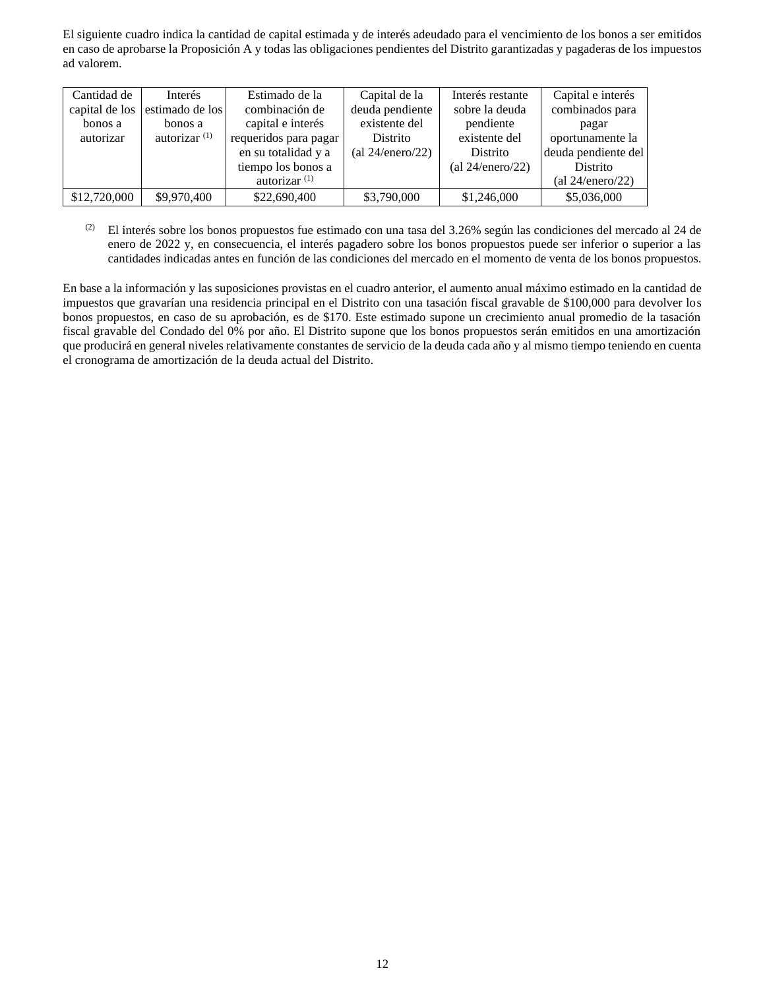El siguiente cuadro indica la cantidad de capital estimada y de interés adeudado para el vencimiento de los bonos a ser emitidos en caso de aprobarse la Proposición A y todas las obligaciones pendientes del Distrito garantizadas y pagaderas de los impuestos ad valorem.

| Cantidad de    | <b>Interés</b>  | Estimado de la        | Capital de la       | Interés restante    | Capital e interés   |
|----------------|-----------------|-----------------------|---------------------|---------------------|---------------------|
| capital de los | estimado de los | combinación de        | deuda pendiente     | sobre la deuda      | combinados para     |
| bonos a        | bonos a         | capital e interés     | existente del       | pendiente           | pagar               |
| autorizar      | autorizar $(1)$ | requeridos para pagar | Distrito            | existente del       | oportunamente la    |
|                |                 | en su totalidad y a   | (al $24/enero/22$ ) | Distrito            | deuda pendiente del |
|                |                 | tiempo los bonos a    |                     | (al $24/enero/22$ ) | <b>Distrito</b>     |
|                |                 | autorizar $(1)$       |                     |                     | (al $24/enero/22$ ) |
| \$12,720,000   | \$9,970,400     | \$22,690,400          | \$3,790,000         | \$1,246,000         | \$5,036,000         |

(2) El interés sobre los bonos propuestos fue estimado con una tasa del 3.26% según las condiciones del mercado al 24 de enero de 2022 y, en consecuencia, el interés pagadero sobre los bonos propuestos puede ser inferior o superior a las cantidades indicadas antes en función de las condiciones del mercado en el momento de venta de los bonos propuestos.

En base a la información y las suposiciones provistas en el cuadro anterior, el aumento anual máximo estimado en la cantidad de impuestos que gravarían una residencia principal en el Distrito con una tasación fiscal gravable de \$100,000 para devolver los bonos propuestos, en caso de su aprobación, es de \$170. Este estimado supone un crecimiento anual promedio de la tasación fiscal gravable del Condado del 0% por año. El Distrito supone que los bonos propuestos serán emitidos en una amortización que producirá en general niveles relativamente constantes de servicio de la deuda cada año y al mismo tiempo teniendo en cuenta el cronograma de amortización de la deuda actual del Distrito.